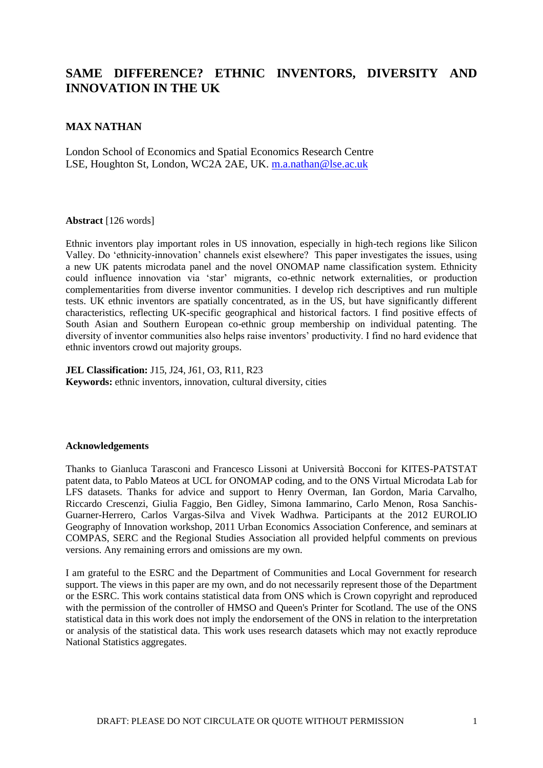# **SAME DIFFERENCE? ETHNIC INVENTORS, DIVERSITY AND INNOVATION IN THE UK**

# **MAX NATHAN**

London School of Economics and Spatial Economics Research Centre LSE, Houghton St, London, WC2A 2AE, UK. [m.a.nathan@lse.ac.uk](mailto:m.a.nathan@lse.ac.uk)

**Abstract** [126 words]

Ethnic inventors play important roles in US innovation, especially in high-tech regions like Silicon Valley. Do 'ethnicity-innovation' channels exist elsewhere? This paper investigates the issues, using a new UK patents microdata panel and the novel ONOMAP name classification system. Ethnicity could influence innovation via 'star' migrants, co-ethnic network externalities, or production complementarities from diverse inventor communities. I develop rich descriptives and run multiple tests. UK ethnic inventors are spatially concentrated, as in the US, but have significantly different characteristics, reflecting UK-specific geographical and historical factors. I find positive effects of South Asian and Southern European co-ethnic group membership on individual patenting. The diversity of inventor communities also helps raise inventors' productivity. I find no hard evidence that ethnic inventors crowd out majority groups.

**JEL Classification:** J15, J24, J61, O3, R11, R23 **Keywords:** ethnic inventors, innovation, cultural diversity, cities

#### **Acknowledgements**

Thanks to Gianluca Tarasconi and Francesco Lissoni at Università Bocconi for KITES-PATSTAT patent data, to Pablo Mateos at UCL for ONOMAP coding, and to the ONS Virtual Microdata Lab for LFS datasets. Thanks for advice and support to Henry Overman, Ian Gordon, Maria Carvalho, Riccardo Crescenzi, Giulia Faggio, Ben Gidley, Simona Iammarino, Carlo Menon, Rosa Sanchis-Guarner-Herrero, Carlos Vargas-Silva and Vivek Wadhwa. Participants at the 2012 EUROLIO Geography of Innovation workshop, 2011 Urban Economics Association Conference, and seminars at COMPAS, SERC and the Regional Studies Association all provided helpful comments on previous versions. Any remaining errors and omissions are my own.

I am grateful to the ESRC and the Department of Communities and Local Government for research support. The views in this paper are my own, and do not necessarily represent those of the Department or the ESRC. This work contains statistical data from ONS which is Crown copyright and reproduced with the permission of the controller of HMSO and Queen's Printer for Scotland. The use of the ONS statistical data in this work does not imply the endorsement of the ONS in relation to the interpretation or analysis of the statistical data. This work uses research datasets which may not exactly reproduce National Statistics aggregates.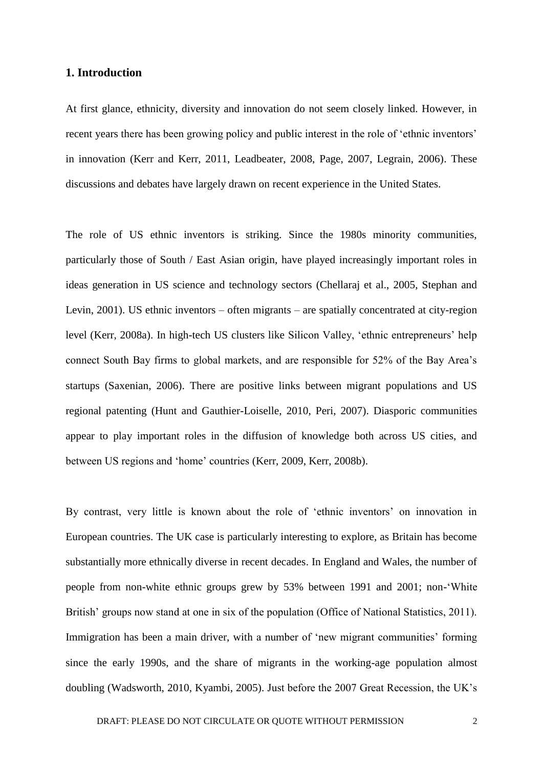# **1. Introduction**

At first glance, ethnicity, diversity and innovation do not seem closely linked. However, in recent years there has been growing policy and public interest in the role of 'ethnic inventors' in innovation (Kerr and Kerr, 2011, Leadbeater, 2008, Page, 2007, Legrain, 2006). These discussions and debates have largely drawn on recent experience in the United States.

The role of US ethnic inventors is striking. Since the 1980s minority communities, particularly those of South / East Asian origin, have played increasingly important roles in ideas generation in US science and technology sectors (Chellaraj et al., 2005, Stephan and Levin, 2001). US ethnic inventors – often migrants – are spatially concentrated at city-region level (Kerr, 2008a). In high-tech US clusters like Silicon Valley, 'ethnic entrepreneurs' help connect South Bay firms to global markets, and are responsible for 52% of the Bay Area's startups (Saxenian, 2006). There are positive links between migrant populations and US regional patenting (Hunt and Gauthier-Loiselle, 2010, Peri, 2007). Diasporic communities appear to play important roles in the diffusion of knowledge both across US cities, and between US regions and 'home' countries (Kerr, 2009, Kerr, 2008b).

By contrast, very little is known about the role of 'ethnic inventors' on innovation in European countries. The UK case is particularly interesting to explore, as Britain has become substantially more ethnically diverse in recent decades. In England and Wales, the number of people from non-white ethnic groups grew by 53% between 1991 and 2001; non-'White British' groups now stand at one in six of the population (Office of National Statistics, 2011). Immigration has been a main driver, with a number of 'new migrant communities' forming since the early 1990s, and the share of migrants in the working-age population almost doubling (Wadsworth, 2010, Kyambi, 2005). Just before the 2007 Great Recession, the UK's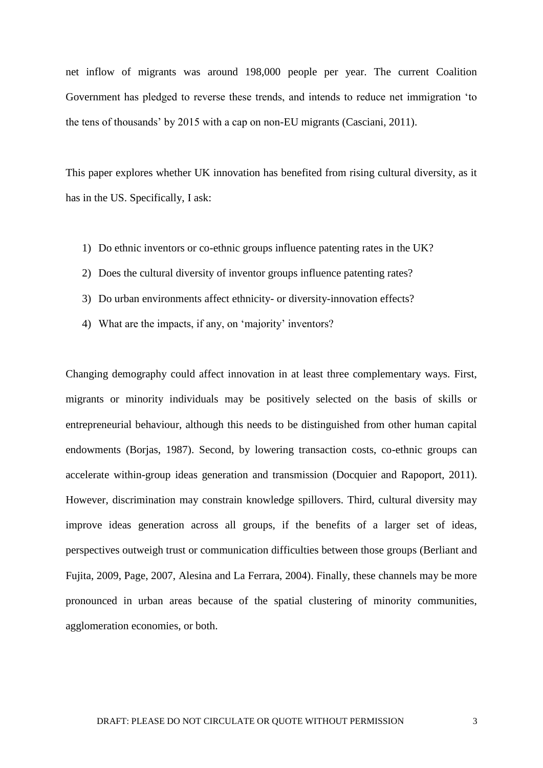net inflow of migrants was around 198,000 people per year. The current Coalition Government has pledged to reverse these trends, and intends to reduce net immigration 'to the tens of thousands' by 2015 with a cap on non-EU migrants (Casciani, 2011).

This paper explores whether UK innovation has benefited from rising cultural diversity, as it has in the US. Specifically, I ask:

- 1) Do ethnic inventors or co-ethnic groups influence patenting rates in the UK?
- 2) Does the cultural diversity of inventor groups influence patenting rates?
- 3) Do urban environments affect ethnicity- or diversity-innovation effects?
- 4) What are the impacts, if any, on 'majority' inventors?

Changing demography could affect innovation in at least three complementary ways. First, migrants or minority individuals may be positively selected on the basis of skills or entrepreneurial behaviour, although this needs to be distinguished from other human capital endowments (Borjas, 1987). Second, by lowering transaction costs, co-ethnic groups can accelerate within-group ideas generation and transmission (Docquier and Rapoport, 2011). However, discrimination may constrain knowledge spillovers. Third, cultural diversity may improve ideas generation across all groups, if the benefits of a larger set of ideas, perspectives outweigh trust or communication difficulties between those groups (Berliant and Fujita, 2009, Page, 2007, Alesina and La Ferrara, 2004). Finally, these channels may be more pronounced in urban areas because of the spatial clustering of minority communities, agglomeration economies, or both.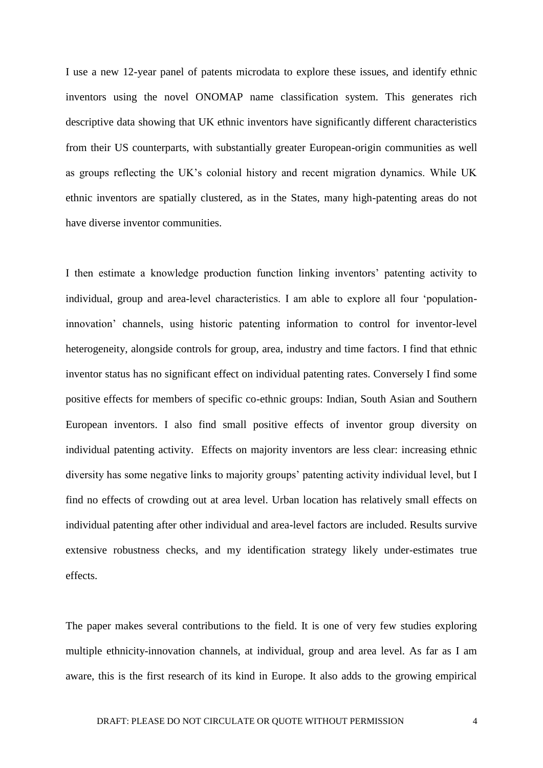I use a new 12-year panel of patents microdata to explore these issues, and identify ethnic inventors using the novel ONOMAP name classification system. This generates rich descriptive data showing that UK ethnic inventors have significantly different characteristics from their US counterparts, with substantially greater European-origin communities as well as groups reflecting the UK's colonial history and recent migration dynamics. While UK ethnic inventors are spatially clustered, as in the States, many high-patenting areas do not have diverse inventor communities.

I then estimate a knowledge production function linking inventors' patenting activity to individual, group and area-level characteristics. I am able to explore all four 'populationinnovation' channels, using historic patenting information to control for inventor-level heterogeneity, alongside controls for group, area, industry and time factors. I find that ethnic inventor status has no significant effect on individual patenting rates. Conversely I find some positive effects for members of specific co-ethnic groups: Indian, South Asian and Southern European inventors. I also find small positive effects of inventor group diversity on individual patenting activity. Effects on majority inventors are less clear: increasing ethnic diversity has some negative links to majority groups' patenting activity individual level, but I find no effects of crowding out at area level. Urban location has relatively small effects on individual patenting after other individual and area-level factors are included. Results survive extensive robustness checks, and my identification strategy likely under-estimates true effects.

The paper makes several contributions to the field. It is one of very few studies exploring multiple ethnicity-innovation channels, at individual, group and area level. As far as I am aware, this is the first research of its kind in Europe. It also adds to the growing empirical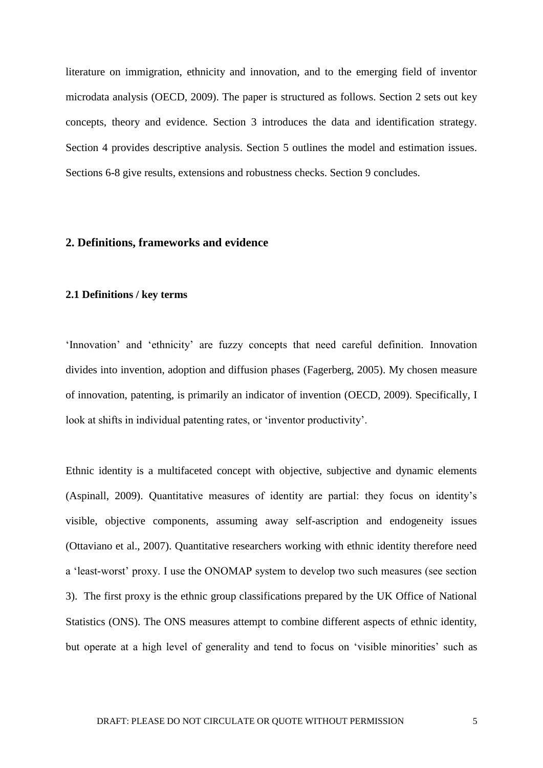literature on immigration, ethnicity and innovation, and to the emerging field of inventor microdata analysis (OECD, 2009). The paper is structured as follows. Section 2 sets out key concepts, theory and evidence. Section 3 introduces the data and identification strategy. Section 4 provides descriptive analysis. Section 5 outlines the model and estimation issues. Sections 6-8 give results, extensions and robustness checks. Section 9 concludes.

#### **2. Definitions, frameworks and evidence**

#### **2.1 Definitions / key terms**

'Innovation' and 'ethnicity' are fuzzy concepts that need careful definition. Innovation divides into invention, adoption and diffusion phases (Fagerberg, 2005). My chosen measure of innovation, patenting, is primarily an indicator of invention (OECD, 2009). Specifically, I look at shifts in individual patenting rates, or 'inventor productivity'.

Ethnic identity is a multifaceted concept with objective, subjective and dynamic elements (Aspinall, 2009). Quantitative measures of identity are partial: they focus on identity's visible, objective components, assuming away self-ascription and endogeneity issues (Ottaviano et al., 2007). Quantitative researchers working with ethnic identity therefore need a 'least-worst' proxy. I use the ONOMAP system to develop two such measures (see section 3). The first proxy is the ethnic group classifications prepared by the UK Office of National Statistics (ONS). The ONS measures attempt to combine different aspects of ethnic identity, but operate at a high level of generality and tend to focus on 'visible minorities' such as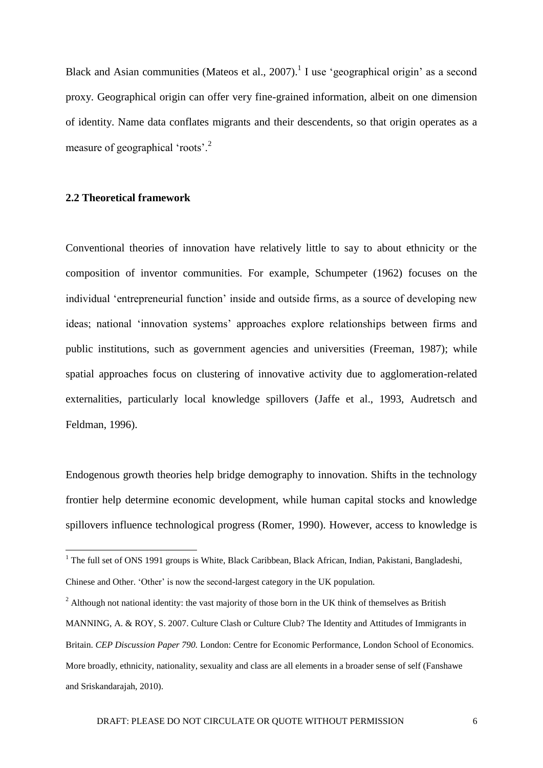Black and Asian communities (Mateos et al., 2007).<sup>1</sup> I use 'geographical origin' as a second proxy. Geographical origin can offer very fine-grained information, albeit on one dimension of identity. Name data conflates migrants and their descendents, so that origin operates as a measure of geographical 'roots'.<sup>2</sup>

# **2.2 Theoretical framework**

1

Conventional theories of innovation have relatively little to say to about ethnicity or the composition of inventor communities. For example, Schumpeter (1962) focuses on the individual 'entrepreneurial function' inside and outside firms, as a source of developing new ideas; national 'innovation systems' approaches explore relationships between firms and public institutions, such as government agencies and universities (Freeman, 1987); while spatial approaches focus on clustering of innovative activity due to agglomeration-related externalities, particularly local knowledge spillovers (Jaffe et al., 1993, Audretsch and Feldman, 1996).

Endogenous growth theories help bridge demography to innovation. Shifts in the technology frontier help determine economic development, while human capital stocks and knowledge spillovers influence technological progress (Romer, 1990). However, access to knowledge is

 $1$  The full set of ONS 1991 groups is White, Black Caribbean, Black African, Indian, Pakistani, Bangladeshi,

Chinese and Other. 'Other' is now the second-largest category in the UK population.

 $2$  Although not national identity: the vast majority of those born in the UK think of themselves as British MANNING, A. & ROY, S. 2007. Culture Clash or Culture Club? The Identity and Attitudes of Immigrants in Britain. *CEP Discussion Paper 790.* London: Centre for Economic Performance, London School of Economics. More broadly, ethnicity, nationality, sexuality and class are all elements in a broader sense of self (Fanshawe and Sriskandarajah, 2010).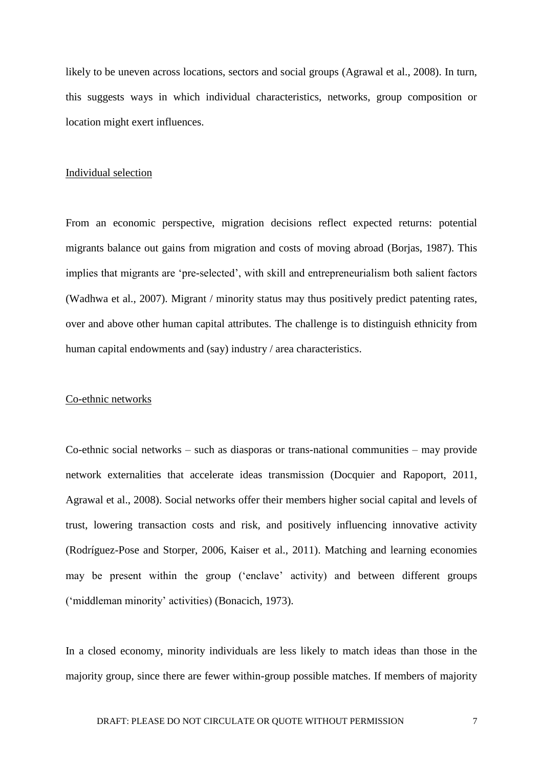likely to be uneven across locations, sectors and social groups (Agrawal et al., 2008). In turn, this suggests ways in which individual characteristics, networks, group composition or location might exert influences.

#### Individual selection

From an economic perspective, migration decisions reflect expected returns: potential migrants balance out gains from migration and costs of moving abroad (Borjas, 1987). This implies that migrants are 'pre-selected', with skill and entrepreneurialism both salient factors (Wadhwa et al., 2007). Migrant / minority status may thus positively predict patenting rates, over and above other human capital attributes. The challenge is to distinguish ethnicity from human capital endowments and (say) industry / area characteristics.

# Co-ethnic networks

Co-ethnic social networks – such as diasporas or trans-national communities – may provide network externalities that accelerate ideas transmission (Docquier and Rapoport, 2011, Agrawal et al., 2008). Social networks offer their members higher social capital and levels of trust, lowering transaction costs and risk, and positively influencing innovative activity (Rodríguez-Pose and Storper, 2006, Kaiser et al., 2011). Matching and learning economies may be present within the group ('enclave' activity) and between different groups ('middleman minority' activities) (Bonacich, 1973).

In a closed economy, minority individuals are less likely to match ideas than those in the majority group, since there are fewer within-group possible matches. If members of majority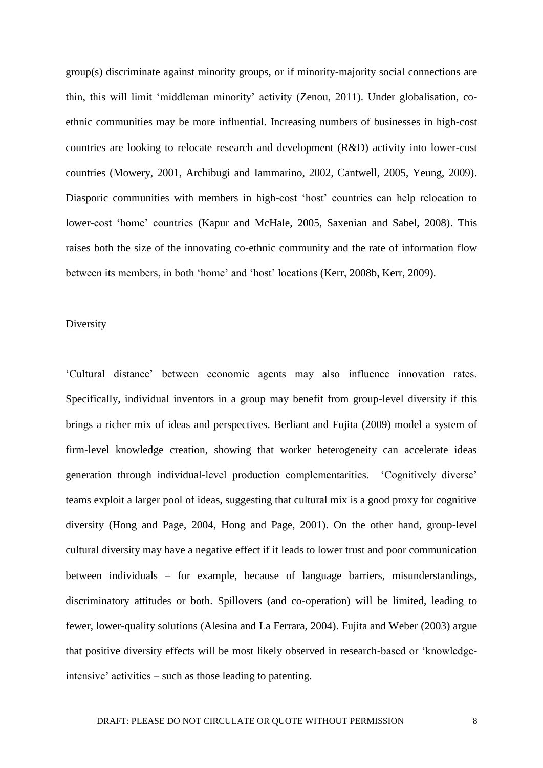group(s) discriminate against minority groups, or if minority-majority social connections are thin, this will limit 'middleman minority' activity (Zenou, 2011). Under globalisation, coethnic communities may be more influential. Increasing numbers of businesses in high-cost countries are looking to relocate research and development (R&D) activity into lower-cost countries (Mowery, 2001, Archibugi and Iammarino, 2002, Cantwell, 2005, Yeung, 2009). Diasporic communities with members in high-cost 'host' countries can help relocation to lower-cost 'home' countries (Kapur and McHale, 2005, Saxenian and Sabel, 2008). This raises both the size of the innovating co-ethnic community and the rate of information flow between its members, in both 'home' and 'host' locations (Kerr, 2008b, Kerr, 2009).

#### Diversity

'Cultural distance' between economic agents may also influence innovation rates. Specifically, individual inventors in a group may benefit from group-level diversity if this brings a richer mix of ideas and perspectives. Berliant and Fujita (2009) model a system of firm-level knowledge creation, showing that worker heterogeneity can accelerate ideas generation through individual-level production complementarities. 'Cognitively diverse' teams exploit a larger pool of ideas, suggesting that cultural mix is a good proxy for cognitive diversity (Hong and Page, 2004, Hong and Page, 2001). On the other hand, group-level cultural diversity may have a negative effect if it leads to lower trust and poor communication between individuals – for example, because of language barriers, misunderstandings, discriminatory attitudes or both. Spillovers (and co-operation) will be limited, leading to fewer, lower-quality solutions (Alesina and La Ferrara, 2004). Fujita and Weber (2003) argue that positive diversity effects will be most likely observed in research-based or 'knowledgeintensive' activities – such as those leading to patenting.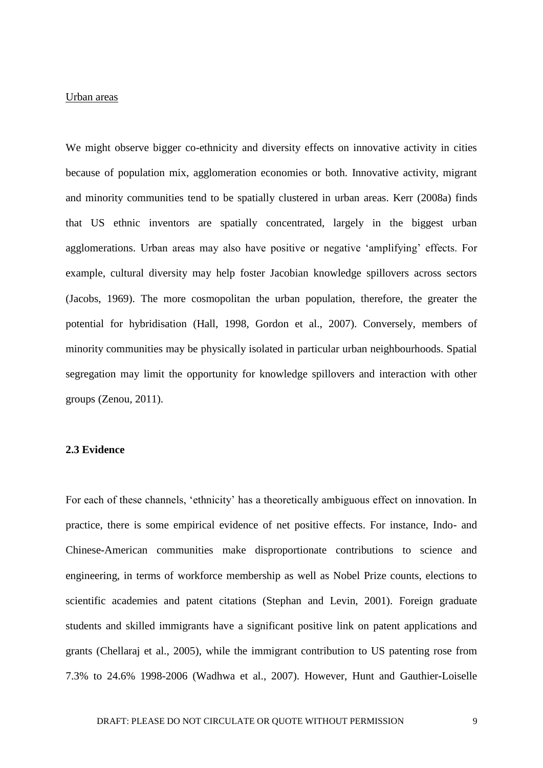#### Urban areas

We might observe bigger co-ethnicity and diversity effects on innovative activity in cities because of population mix, agglomeration economies or both. Innovative activity, migrant and minority communities tend to be spatially clustered in urban areas. Kerr (2008a) finds that US ethnic inventors are spatially concentrated, largely in the biggest urban agglomerations. Urban areas may also have positive or negative 'amplifying' effects. For example, cultural diversity may help foster Jacobian knowledge spillovers across sectors (Jacobs, 1969). The more cosmopolitan the urban population, therefore, the greater the potential for hybridisation (Hall, 1998, Gordon et al., 2007). Conversely, members of minority communities may be physically isolated in particular urban neighbourhoods. Spatial segregation may limit the opportunity for knowledge spillovers and interaction with other groups (Zenou, 2011).

#### **2.3 Evidence**

For each of these channels, 'ethnicity' has a theoretically ambiguous effect on innovation. In practice, there is some empirical evidence of net positive effects. For instance, Indo- and Chinese-American communities make disproportionate contributions to science and engineering, in terms of workforce membership as well as Nobel Prize counts, elections to scientific academies and patent citations (Stephan and Levin, 2001). Foreign graduate students and skilled immigrants have a significant positive link on patent applications and grants (Chellaraj et al., 2005), while the immigrant contribution to US patenting rose from 7.3% to 24.6% 1998-2006 (Wadhwa et al., 2007). However, Hunt and Gauthier-Loiselle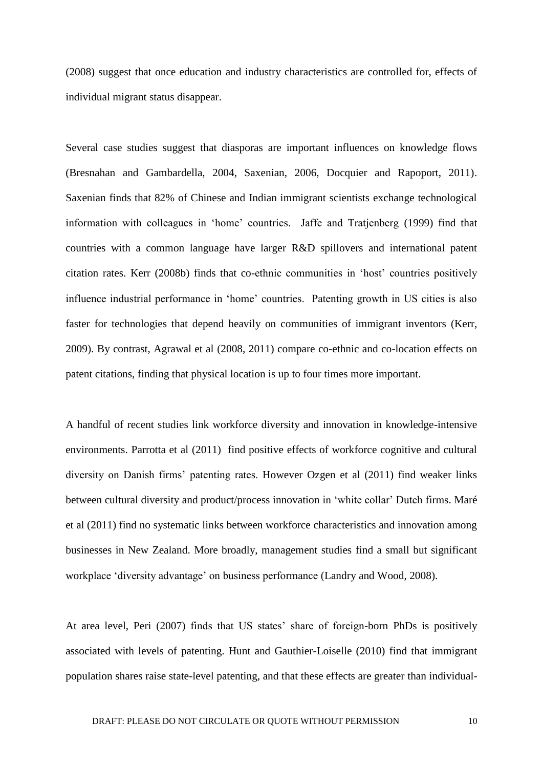(2008) suggest that once education and industry characteristics are controlled for, effects of individual migrant status disappear.

Several case studies suggest that diasporas are important influences on knowledge flows (Bresnahan and Gambardella, 2004, Saxenian, 2006, Docquier and Rapoport, 2011). Saxenian finds that 82% of Chinese and Indian immigrant scientists exchange technological information with colleagues in 'home' countries. Jaffe and Tratjenberg (1999) find that countries with a common language have larger R&D spillovers and international patent citation rates. Kerr (2008b) finds that co-ethnic communities in 'host' countries positively influence industrial performance in 'home' countries. Patenting growth in US cities is also faster for technologies that depend heavily on communities of immigrant inventors (Kerr, 2009). By contrast, Agrawal et al (2008, 2011) compare co-ethnic and co-location effects on patent citations, finding that physical location is up to four times more important.

A handful of recent studies link workforce diversity and innovation in knowledge-intensive environments. Parrotta et al (2011) find positive effects of workforce cognitive and cultural diversity on Danish firms' patenting rates. However Ozgen et al (2011) find weaker links between cultural diversity and product/process innovation in 'white collar' Dutch firms. Maré et al (2011) find no systematic links between workforce characteristics and innovation among businesses in New Zealand. More broadly, management studies find a small but significant workplace 'diversity advantage' on business performance (Landry and Wood, 2008).

At area level, Peri (2007) finds that US states' share of foreign-born PhDs is positively associated with levels of patenting. Hunt and Gauthier-Loiselle (2010) find that immigrant population shares raise state-level patenting, and that these effects are greater than individual-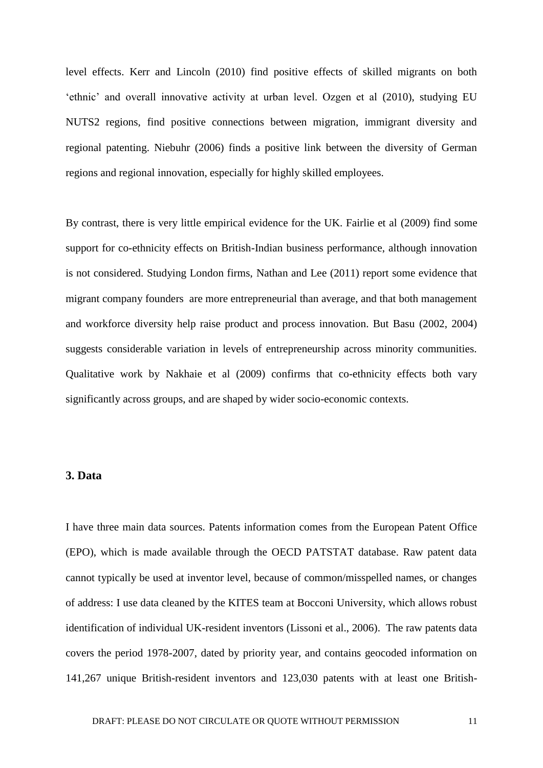level effects. Kerr and Lincoln (2010) find positive effects of skilled migrants on both 'ethnic' and overall innovative activity at urban level. Ozgen et al (2010), studying EU NUTS2 regions, find positive connections between migration, immigrant diversity and regional patenting. Niebuhr (2006) finds a positive link between the diversity of German regions and regional innovation, especially for highly skilled employees.

By contrast, there is very little empirical evidence for the UK. Fairlie et al (2009) find some support for co-ethnicity effects on British-Indian business performance, although innovation is not considered. Studying London firms, Nathan and Lee (2011) report some evidence that migrant company founders are more entrepreneurial than average, and that both management and workforce diversity help raise product and process innovation. But Basu (2002, 2004) suggests considerable variation in levels of entrepreneurship across minority communities. Qualitative work by Nakhaie et al (2009) confirms that co-ethnicity effects both vary significantly across groups, and are shaped by wider socio-economic contexts.

# **3. Data**

I have three main data sources. Patents information comes from the European Patent Office (EPO), which is made available through the OECD PATSTAT database. Raw patent data cannot typically be used at inventor level, because of common/misspelled names, or changes of address: I use data cleaned by the KITES team at Bocconi University, which allows robust identification of individual UK-resident inventors (Lissoni et al., 2006). The raw patents data covers the period 1978-2007, dated by priority year, and contains geocoded information on 141,267 unique British-resident inventors and 123,030 patents with at least one British-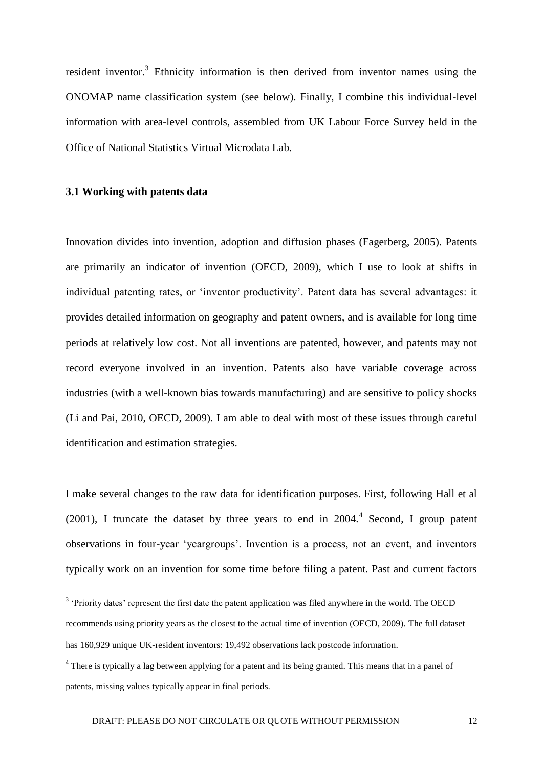resident inventor.<sup>3</sup> Ethnicity information is then derived from inventor names using the ONOMAP name classification system (see below). Finally, I combine this individual-level information with area-level controls, assembled from UK Labour Force Survey held in the Office of National Statistics Virtual Microdata Lab.

#### **3.1 Working with patents data**

1

Innovation divides into invention, adoption and diffusion phases (Fagerberg, 2005). Patents are primarily an indicator of invention (OECD, 2009), which I use to look at shifts in individual patenting rates, or 'inventor productivity'. Patent data has several advantages: it provides detailed information on geography and patent owners, and is available for long time periods at relatively low cost. Not all inventions are patented, however, and patents may not record everyone involved in an invention. Patents also have variable coverage across industries (with a well-known bias towards manufacturing) and are sensitive to policy shocks (Li and Pai, 2010, OECD, 2009). I am able to deal with most of these issues through careful identification and estimation strategies.

I make several changes to the raw data for identification purposes. First, following Hall et al  $(2001)$ , I truncate the dataset by three years to end in 2004.<sup>4</sup> Second, I group patent observations in four-year 'yeargroups'. Invention is a process, not an event, and inventors typically work on an invention for some time before filing a patent. Past and current factors

<sup>&</sup>lt;sup>3</sup> 'Priority dates' represent the first date the patent application was filed anywhere in the world. The OECD recommends using priority years as the closest to the actual time of invention (OECD, 2009). The full dataset has 160,929 unique UK-resident inventors: 19,492 observations lack postcode information.

<sup>&</sup>lt;sup>4</sup> There is typically a lag between applying for a patent and its being granted. This means that in a panel of patents, missing values typically appear in final periods.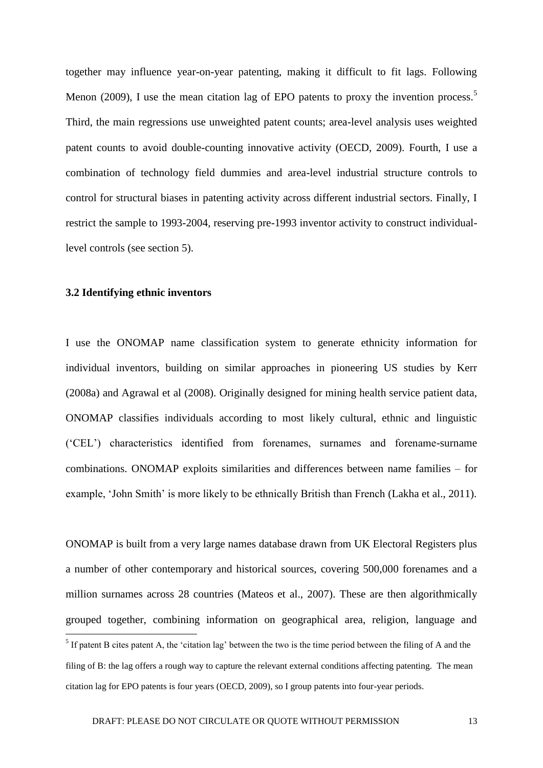together may influence year-on-year patenting, making it difficult to fit lags. Following Menon (2009). I use the mean citation lag of EPO patents to proxy the invention process.<sup>5</sup> Third, the main regressions use unweighted patent counts; area-level analysis uses weighted patent counts to avoid double-counting innovative activity (OECD, 2009). Fourth, I use a combination of technology field dummies and area-level industrial structure controls to control for structural biases in patenting activity across different industrial sectors. Finally, I restrict the sample to 1993-2004, reserving pre-1993 inventor activity to construct individuallevel controls (see section 5).

#### **3.2 Identifying ethnic inventors**

I use the ONOMAP name classification system to generate ethnicity information for individual inventors, building on similar approaches in pioneering US studies by Kerr (2008a) and Agrawal et al (2008). Originally designed for mining health service patient data, ONOMAP classifies individuals according to most likely cultural, ethnic and linguistic ('CEL') characteristics identified from forenames, surnames and forename-surname combinations. ONOMAP exploits similarities and differences between name families – for example, 'John Smith' is more likely to be ethnically British than French (Lakha et al., 2011).

ONOMAP is built from a very large names database drawn from UK Electoral Registers plus a number of other contemporary and historical sources, covering 500,000 forenames and a million surnames across 28 countries (Mateos et al., 2007). These are then algorithmically grouped together, combining information on geographical area, religion, language and <sup>5</sup> If patent B cites patent A, the 'citation lag' between the two is the time period between the filing of A and the filing of B: the lag offers a rough way to capture the relevant external conditions affecting patenting. The mean citation lag for EPO patents is four years (OECD, 2009), so I group patents into four-year periods.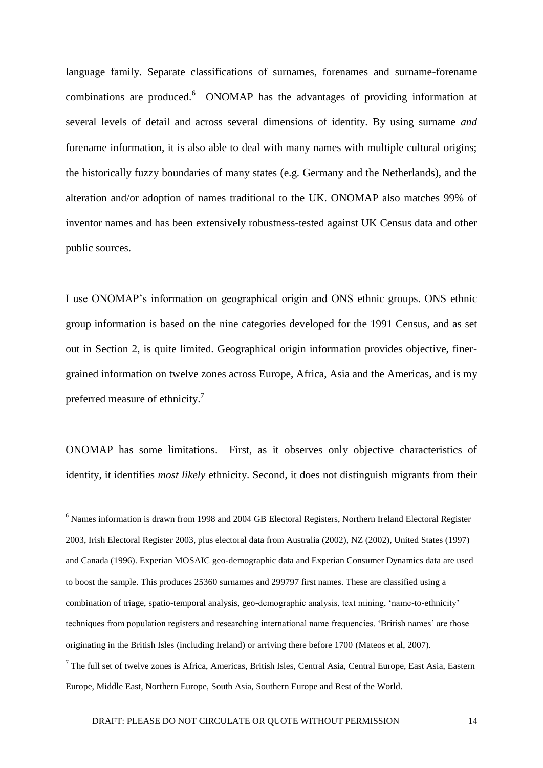language family. Separate classifications of surnames, forenames and surname-forename combinations are produced. $\delta$  ONOMAP has the advantages of providing information at several levels of detail and across several dimensions of identity. By using surname *and*  forename information, it is also able to deal with many names with multiple cultural origins; the historically fuzzy boundaries of many states (e.g. Germany and the Netherlands), and the alteration and/or adoption of names traditional to the UK. ONOMAP also matches 99% of inventor names and has been extensively robustness-tested against UK Census data and other public sources.

I use ONOMAP's information on geographical origin and ONS ethnic groups. ONS ethnic group information is based on the nine categories developed for the 1991 Census, and as set out in Section 2, is quite limited. Geographical origin information provides objective, finergrained information on twelve zones across Europe, Africa, Asia and the Americas, and is my preferred measure of ethnicity. $<sup>7</sup>$ </sup>

ONOMAP has some limitations. First, as it observes only objective characteristics of identity, it identifies *most likely* ethnicity. Second, it does not distinguish migrants from their

<u>.</u>

<sup>&</sup>lt;sup>6</sup> Names information is drawn from 1998 and 2004 GB Electoral Registers, Northern Ireland Electoral Register 2003, Irish Electoral Register 2003, plus electoral data from Australia (2002), NZ (2002), United States (1997) and Canada (1996). Experian MOSAIC geo-demographic data and Experian Consumer Dynamics data are used to boost the sample. This produces 25360 surnames and 299797 first names. These are classified using a combination of triage, spatio-temporal analysis, geo-demographic analysis, text mining, 'name-to-ethnicity' techniques from population registers and researching international name frequencies. 'British names' are those originating in the British Isles (including Ireland) or arriving there before 1700 (Mateos et al, 2007).  $<sup>7</sup>$  The full set of twelve zones is Africa, Americas, British Isles, Central Asia, Central Europe, East Asia, Eastern</sup>

Europe, Middle East, Northern Europe, South Asia, Southern Europe and Rest of the World.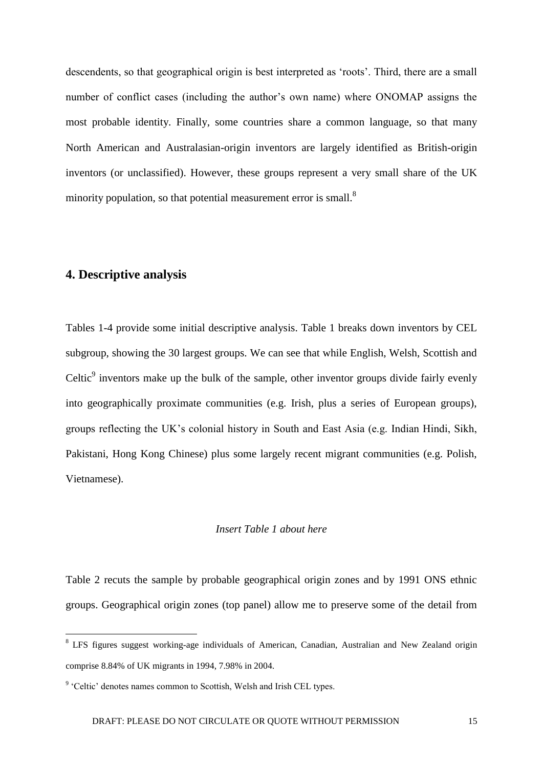descendents, so that geographical origin is best interpreted as 'roots'. Third, there are a small number of conflict cases (including the author's own name) where ONOMAP assigns the most probable identity. Finally, some countries share a common language, so that many North American and Australasian-origin inventors are largely identified as British-origin inventors (or unclassified). However, these groups represent a very small share of the UK minority population, so that potential measurement error is small. $8$ 

# **4. Descriptive analysis**

1

Tables 1-4 provide some initial descriptive analysis. Table 1 breaks down inventors by CEL subgroup, showing the 30 largest groups. We can see that while English, Welsh, Scottish and Celtic $<sup>9</sup>$  inventors make up the bulk of the sample, other inventor groups divide fairly evenly</sup> into geographically proximate communities (e.g. Irish, plus a series of European groups), groups reflecting the UK's colonial history in South and East Asia (e.g. Indian Hindi, Sikh, Pakistani, Hong Kong Chinese) plus some largely recent migrant communities (e.g. Polish, Vietnamese).

### *Insert Table 1 about here*

Table 2 recuts the sample by probable geographical origin zones and by 1991 ONS ethnic groups. Geographical origin zones (top panel) allow me to preserve some of the detail from

<sup>&</sup>lt;sup>8</sup> LFS figures suggest working-age individuals of American, Canadian, Australian and New Zealand origin comprise 8.84% of UK migrants in 1994, 7.98% in 2004.

<sup>&</sup>lt;sup>9</sup> 'Celtic' denotes names common to Scottish, Welsh and Irish CEL types.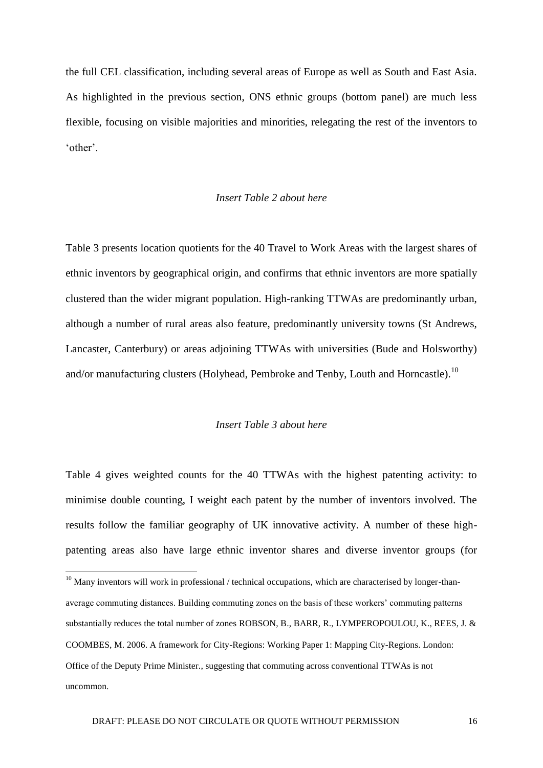the full CEL classification, including several areas of Europe as well as South and East Asia. As highlighted in the previous section, ONS ethnic groups (bottom panel) are much less flexible, focusing on visible majorities and minorities, relegating the rest of the inventors to 'other'.

# *Insert Table 2 about here*

Table 3 presents location quotients for the 40 Travel to Work Areas with the largest shares of ethnic inventors by geographical origin, and confirms that ethnic inventors are more spatially clustered than the wider migrant population. High-ranking TTWAs are predominantly urban, although a number of rural areas also feature, predominantly university towns (St Andrews, Lancaster, Canterbury) or areas adjoining TTWAs with universities (Bude and Holsworthy) and/or manufacturing clusters (Holyhead, Pembroke and Tenby, Louth and Horncastle).<sup>10</sup>

# *Insert Table 3 about here*

Table 4 gives weighted counts for the 40 TTWAs with the highest patenting activity: to minimise double counting, I weight each patent by the number of inventors involved. The results follow the familiar geography of UK innovative activity. A number of these highpatenting areas also have large ethnic inventor shares and diverse inventor groups (for

<u>.</u>

 $10$  Many inventors will work in professional / technical occupations, which are characterised by longer-thanaverage commuting distances. Building commuting zones on the basis of these workers' commuting patterns substantially reduces the total number of zones ROBSON, B., BARR, R., LYMPEROPOULOU, K., REES, J. & COOMBES, M. 2006. A framework for City-Regions: Working Paper 1: Mapping City-Regions. London: Office of the Deputy Prime Minister., suggesting that commuting across conventional TTWAs is not uncommon.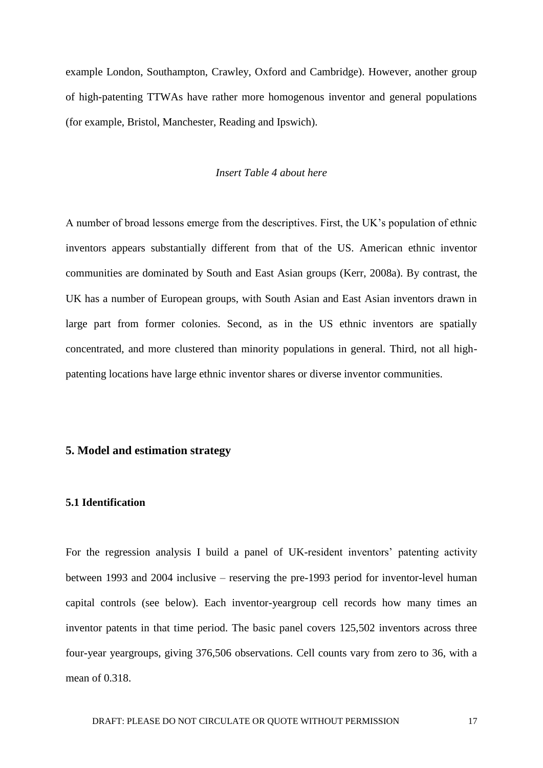example London, Southampton, Crawley, Oxford and Cambridge). However, another group of high-patenting TTWAs have rather more homogenous inventor and general populations (for example, Bristol, Manchester, Reading and Ipswich).

### *Insert Table 4 about here*

A number of broad lessons emerge from the descriptives. First, the UK's population of ethnic inventors appears substantially different from that of the US. American ethnic inventor communities are dominated by South and East Asian groups (Kerr, 2008a). By contrast, the UK has a number of European groups, with South Asian and East Asian inventors drawn in large part from former colonies. Second, as in the US ethnic inventors are spatially concentrated, and more clustered than minority populations in general. Third, not all highpatenting locations have large ethnic inventor shares or diverse inventor communities.

# **5. Model and estimation strategy**

### **5.1 Identification**

For the regression analysis I build a panel of UK-resident inventors' patenting activity between 1993 and 2004 inclusive – reserving the pre-1993 period for inventor-level human capital controls (see below). Each inventor-yeargroup cell records how many times an inventor patents in that time period. The basic panel covers 125,502 inventors across three four-year yeargroups, giving 376,506 observations. Cell counts vary from zero to 36, with a mean of 0.318.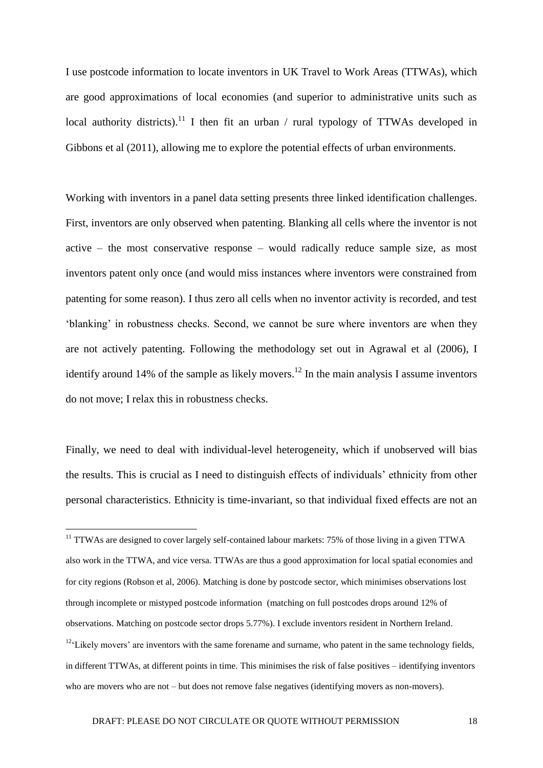I use postcode information to locate inventors in UK Travel to Work Areas (TTWAs), which are good approximations of local economies (and superior to administrative units such as local authority districts).<sup>11</sup> I then fit an urban / rural typology of TTWAs developed in Gibbons et al (2011), allowing me to explore the potential effects of urban environments.

Working with inventors in a panel data setting presents three linked identification challenges. First, inventors are only observed when patenting. Blanking all cells where the inventor is not active – the most conservative response – would radically reduce sample size, as most inventors patent only once (and would miss instances where inventors were constrained from patenting for some reason). I thus zero all cells when no inventor activity is recorded, and test 'blanking' in robustness checks. Second, we cannot be sure where inventors are when they are not actively patenting. Following the methodology set out in Agrawal et al (2006), I identify around 14% of the sample as likely movers.<sup>12</sup> In the main analysis I assume inventors do not move; I relax this in robustness checks.

Finally, we need to deal with individual-level heterogeneity, which if unobserved will bias the results. This is crucial as I need to distinguish effects of individuals' ethnicity from other personal characteristics. Ethnicity is time-invariant, so that individual fixed effects are not an

1

 $11$  TTWAs are designed to cover largely self-contained labour markets: 75% of those living in a given TTWA also work in the TTWA, and vice versa. TTWAs are thus a good approximation for local spatial economies and for city regions (Robson et al, 2006). Matching is done by postcode sector, which minimises observations lost through incomplete or mistyped postcode information (matching on full postcodes drops around 12% of observations. Matching on postcode sector drops 5.77%). I exclude inventors resident in Northern Ireland.  $12$ <sup>c</sup>Likely movers' are inventors with the same forename and surname, who patent in the same technology fields, in different TTWAs, at different points in time. This minimises the risk of false positives – identifying inventors who are movers who are not – but does not remove false negatives (identifying movers as non-movers).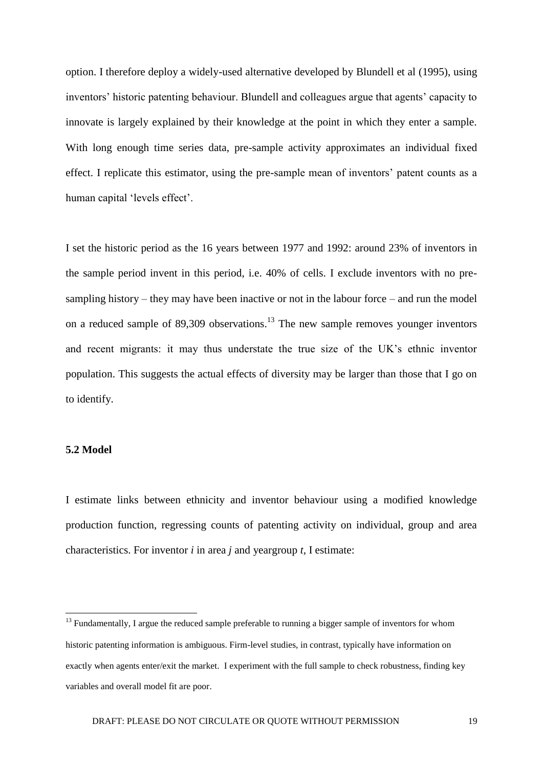option. I therefore deploy a widely-used alternative developed by Blundell et al (1995), using inventors' historic patenting behaviour. Blundell and colleagues argue that agents' capacity to innovate is largely explained by their knowledge at the point in which they enter a sample. With long enough time series data, pre-sample activity approximates an individual fixed effect. I replicate this estimator, using the pre-sample mean of inventors' patent counts as a human capital 'levels effect'.

I set the historic period as the 16 years between 1977 and 1992: around 23% of inventors in the sample period invent in this period, i.e. 40% of cells. I exclude inventors with no presampling history – they may have been inactive or not in the labour force – and run the model on a reduced sample of 89,309 observations.<sup>13</sup> The new sample removes younger inventors and recent migrants: it may thus understate the true size of the UK's ethnic inventor population. This suggests the actual effects of diversity may be larger than those that I go on to identify.

# **5.2 Model**

1

I estimate links between ethnicity and inventor behaviour using a modified knowledge production function, regressing counts of patenting activity on individual, group and area characteristics. For inventor *i* in area *j* and yeargroup *t,* I estimate:

 $13$  Fundamentally, I argue the reduced sample preferable to running a bigger sample of inventors for whom historic patenting information is ambiguous. Firm-level studies, in contrast, typically have information on exactly when agents enter/exit the market. I experiment with the full sample to check robustness, finding key variables and overall model fit are poor.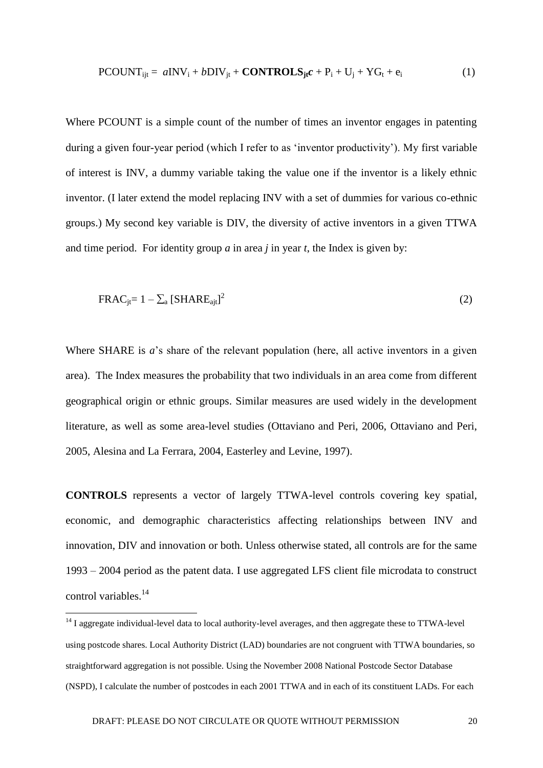$$
PCOUNT_{ijt} = aINV_i + bDIV_{jt} + CONTROLS_{jt}c + P_i + U_j + YG_t + e_i
$$
 (1)

Where PCOUNT is a simple count of the number of times an inventor engages in patenting during a given four-year period (which I refer to as 'inventor productivity'). My first variable of interest is INV, a dummy variable taking the value one if the inventor is a likely ethnic inventor. (I later extend the model replacing INV with a set of dummies for various co-ethnic groups.) My second key variable is DIV, the diversity of active inventors in a given TTWA and time period. For identity group  $\alpha$  in area  $\dot{\beta}$  in year  $\dot{\gamma}$ , the Index is given by:

$$
FRAC_{jt} = 1 - \sum_{a} [SHARE_{ajt}]^{2}
$$
 (2)

Where SHARE is *a*'s share of the relevant population (here, all active inventors in a given area). The Index measures the probability that two individuals in an area come from different geographical origin or ethnic groups. Similar measures are used widely in the development literature, as well as some area-level studies (Ottaviano and Peri, 2006, Ottaviano and Peri, 2005, Alesina and La Ferrara, 2004, Easterley and Levine, 1997).

**CONTROLS** represents a vector of largely TTWA-level controls covering key spatial, economic, and demographic characteristics affecting relationships between INV and innovation, DIV and innovation or both. Unless otherwise stated, all controls are for the same 1993 – 2004 period as the patent data. I use aggregated LFS client file microdata to construct control variables.<sup>14</sup>

1

<sup>&</sup>lt;sup>14</sup> I aggregate individual-level data to local authority-level averages, and then aggregate these to TTWA-level using postcode shares. Local Authority District (LAD) boundaries are not congruent with TTWA boundaries, so straightforward aggregation is not possible. Using the November 2008 National Postcode Sector Database (NSPD), I calculate the number of postcodes in each 2001 TTWA and in each of its constituent LADs. For each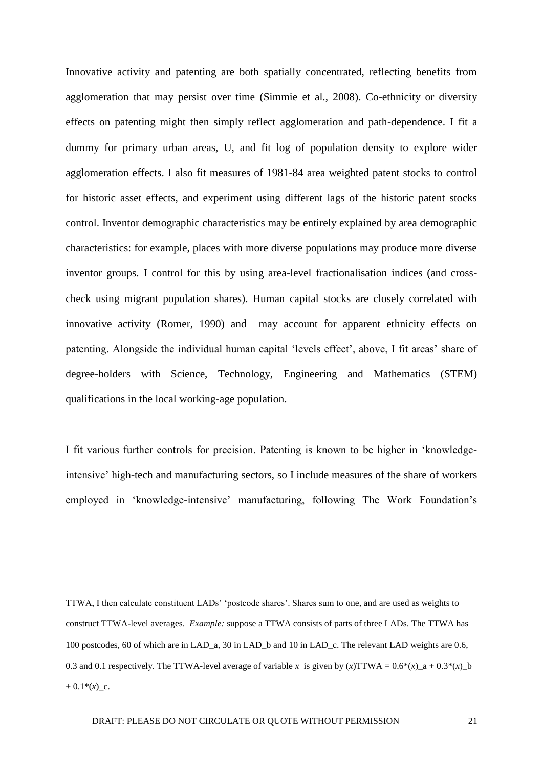Innovative activity and patenting are both spatially concentrated, reflecting benefits from agglomeration that may persist over time (Simmie et al., 2008). Co-ethnicity or diversity effects on patenting might then simply reflect agglomeration and path-dependence. I fit a dummy for primary urban areas, U, and fit log of population density to explore wider agglomeration effects. I also fit measures of 1981-84 area weighted patent stocks to control for historic asset effects, and experiment using different lags of the historic patent stocks control. Inventor demographic characteristics may be entirely explained by area demographic characteristics: for example, places with more diverse populations may produce more diverse inventor groups. I control for this by using area-level fractionalisation indices (and crosscheck using migrant population shares). Human capital stocks are closely correlated with innovative activity (Romer, 1990) and may account for apparent ethnicity effects on patenting. Alongside the individual human capital 'levels effect', above, I fit areas' share of degree-holders with Science, Technology, Engineering and Mathematics (STEM) qualifications in the local working-age population.

I fit various further controls for precision. Patenting is known to be higher in 'knowledgeintensive' high-tech and manufacturing sectors, so I include measures of the share of workers employed in 'knowledge-intensive' manufacturing, following The Work Foundation's

1

TTWA, I then calculate constituent LADs' 'postcode shares'. Shares sum to one, and are used as weights to construct TTWA-level averages. *Example:* suppose a TTWA consists of parts of three LADs. The TTWA has 100 postcodes, 60 of which are in LAD\_a, 30 in LAD\_b and 10 in LAD\_c. The relevant LAD weights are 0.6, 0.3 and 0.1 respectively. The TTWA-level average of variable *x* is given by  $(x)$ TTWA = 0.6<sup>\*</sup>(*x*) a + 0.3<sup>\*</sup>(*x*) b  $+ 0.1*(x)$ **c.**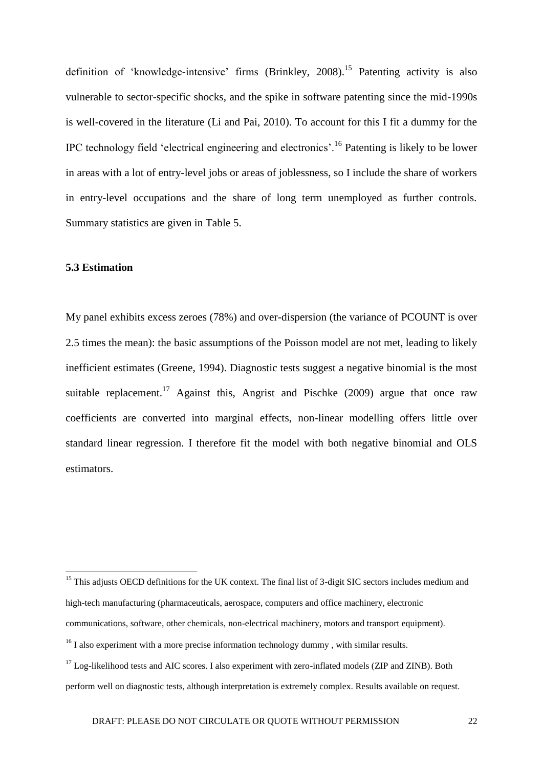definition of 'knowledge-intensive' firms (Brinkley, 2008).<sup>15</sup> Patenting activity is also vulnerable to sector-specific shocks, and the spike in software patenting since the mid-1990s is well-covered in the literature (Li and Pai, 2010). To account for this I fit a dummy for the IPC technology field 'electrical engineering and electronics'.<sup>16</sup> Patenting is likely to be lower in areas with a lot of entry-level jobs or areas of joblessness, so I include the share of workers in entry-level occupations and the share of long term unemployed as further controls. Summary statistics are given in Table 5.

# **5.3 Estimation**

<u>.</u>

My panel exhibits excess zeroes (78%) and over-dispersion (the variance of PCOUNT is over 2.5 times the mean): the basic assumptions of the Poisson model are not met, leading to likely inefficient estimates (Greene, 1994). Diagnostic tests suggest a negative binomial is the most suitable replacement.<sup>17</sup> Against this, Angrist and Pischke (2009) argue that once raw coefficients are converted into marginal effects, non-linear modelling offers little over standard linear regression. I therefore fit the model with both negative binomial and OLS estimators.

<sup>&</sup>lt;sup>15</sup> This adjusts OECD definitions for the UK context. The final list of 3-digit SIC sectors includes medium and high-tech manufacturing (pharmaceuticals, aerospace, computers and office machinery, electronic communications, software, other chemicals, non-electrical machinery, motors and transport equipment).

 $16$  I also experiment with a more precise information technology dummy, with similar results.

<sup>&</sup>lt;sup>17</sup> Log-likelihood tests and AIC scores. I also experiment with zero-inflated models (ZIP and ZINB). Both perform well on diagnostic tests, although interpretation is extremely complex. Results available on request.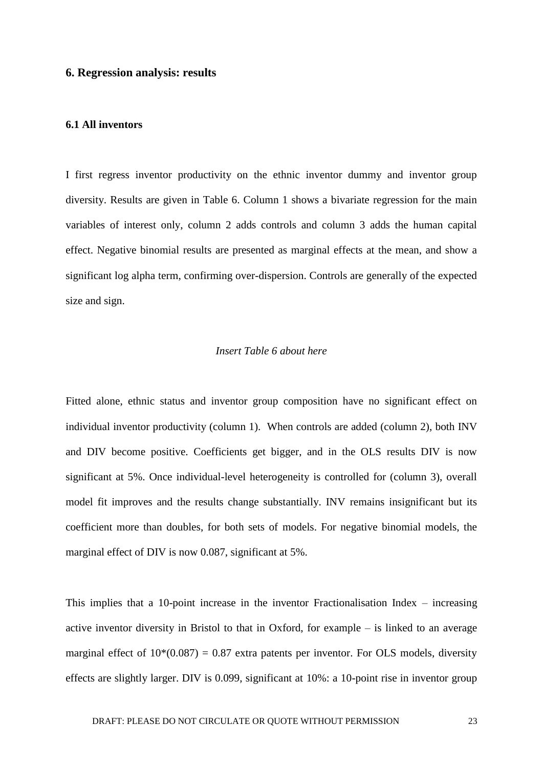#### **6. Regression analysis: results**

#### **6.1 All inventors**

I first regress inventor productivity on the ethnic inventor dummy and inventor group diversity. Results are given in Table 6. Column 1 shows a bivariate regression for the main variables of interest only, column 2 adds controls and column 3 adds the human capital effect. Negative binomial results are presented as marginal effects at the mean, and show a significant log alpha term, confirming over-dispersion. Controls are generally of the expected size and sign.

#### *Insert Table 6 about here*

Fitted alone, ethnic status and inventor group composition have no significant effect on individual inventor productivity (column 1). When controls are added (column 2), both INV and DIV become positive. Coefficients get bigger, and in the OLS results DIV is now significant at 5%. Once individual-level heterogeneity is controlled for (column 3), overall model fit improves and the results change substantially. INV remains insignificant but its coefficient more than doubles, for both sets of models. For negative binomial models, the marginal effect of DIV is now 0.087, significant at 5%.

This implies that a 10-point increase in the inventor Fractionalisation Index – increasing active inventor diversity in Bristol to that in Oxford, for example – is linked to an average marginal effect of  $10*(0.087) = 0.87$  extra patents per inventor. For OLS models, diversity effects are slightly larger. DIV is 0.099, significant at 10%: a 10-point rise in inventor group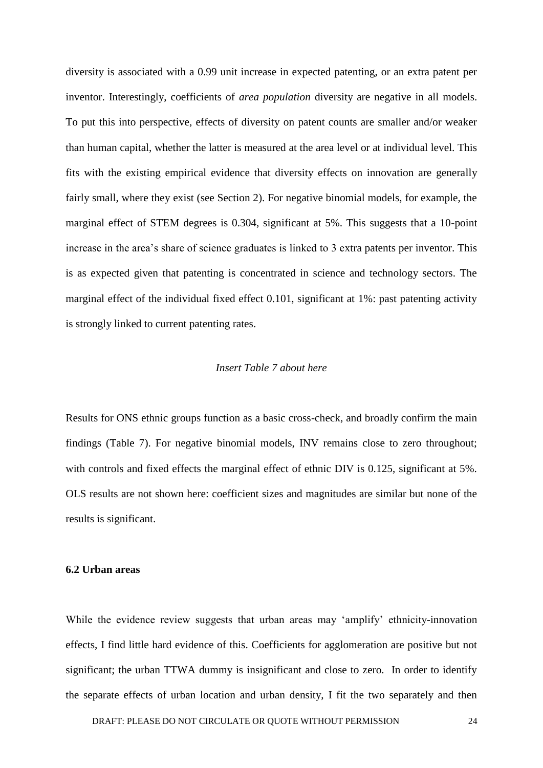diversity is associated with a 0.99 unit increase in expected patenting, or an extra patent per inventor. Interestingly, coefficients of *area population* diversity are negative in all models. To put this into perspective, effects of diversity on patent counts are smaller and/or weaker than human capital, whether the latter is measured at the area level or at individual level. This fits with the existing empirical evidence that diversity effects on innovation are generally fairly small, where they exist (see Section 2). For negative binomial models, for example, the marginal effect of STEM degrees is 0.304, significant at 5%. This suggests that a 10-point increase in the area's share of science graduates is linked to 3 extra patents per inventor. This is as expected given that patenting is concentrated in science and technology sectors. The marginal effect of the individual fixed effect 0.101, significant at 1%: past patenting activity is strongly linked to current patenting rates.

# *Insert Table 7 about here*

Results for ONS ethnic groups function as a basic cross-check, and broadly confirm the main findings (Table 7). For negative binomial models, INV remains close to zero throughout; with controls and fixed effects the marginal effect of ethnic DIV is 0.125, significant at 5%. OLS results are not shown here: coefficient sizes and magnitudes are similar but none of the results is significant.

#### **6.2 Urban areas**

While the evidence review suggests that urban areas may 'amplify' ethnicity-innovation effects, I find little hard evidence of this. Coefficients for agglomeration are positive but not significant; the urban TTWA dummy is insignificant and close to zero. In order to identify the separate effects of urban location and urban density, I fit the two separately and then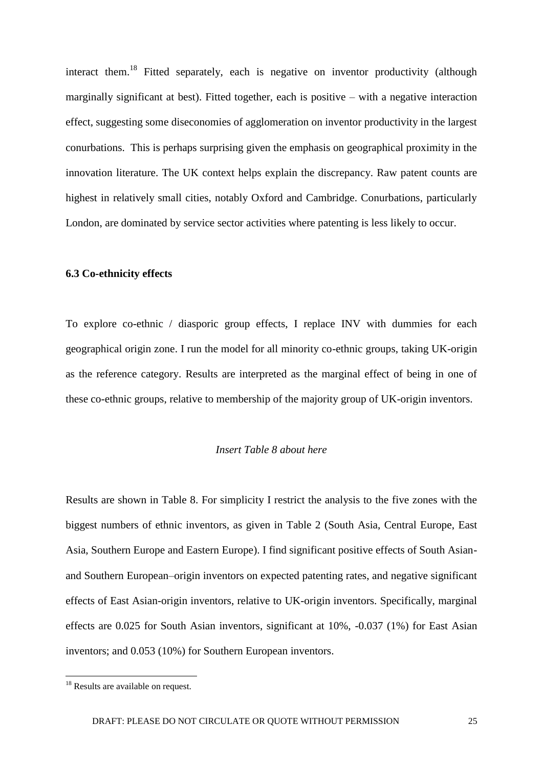interact them.<sup>18</sup> Fitted separately, each is negative on inventor productivity (although marginally significant at best). Fitted together, each is positive – with a negative interaction effect, suggesting some diseconomies of agglomeration on inventor productivity in the largest conurbations. This is perhaps surprising given the emphasis on geographical proximity in the innovation literature. The UK context helps explain the discrepancy. Raw patent counts are highest in relatively small cities, notably Oxford and Cambridge. Conurbations, particularly London, are dominated by service sector activities where patenting is less likely to occur.

### **6.3 Co-ethnicity effects**

To explore co-ethnic / diasporic group effects, I replace INV with dummies for each geographical origin zone. I run the model for all minority co-ethnic groups, taking UK-origin as the reference category. Results are interpreted as the marginal effect of being in one of these co-ethnic groups, relative to membership of the majority group of UK-origin inventors.

# *Insert Table 8 about here*

Results are shown in Table 8. For simplicity I restrict the analysis to the five zones with the biggest numbers of ethnic inventors, as given in Table 2 (South Asia, Central Europe, East Asia, Southern Europe and Eastern Europe). I find significant positive effects of South Asianand Southern European–origin inventors on expected patenting rates, and negative significant effects of East Asian-origin inventors, relative to UK-origin inventors. Specifically, marginal effects are 0.025 for South Asian inventors, significant at 10%, -0.037 (1%) for East Asian inventors; and 0.053 (10%) for Southern European inventors.

1

<sup>&</sup>lt;sup>18</sup> Results are available on request.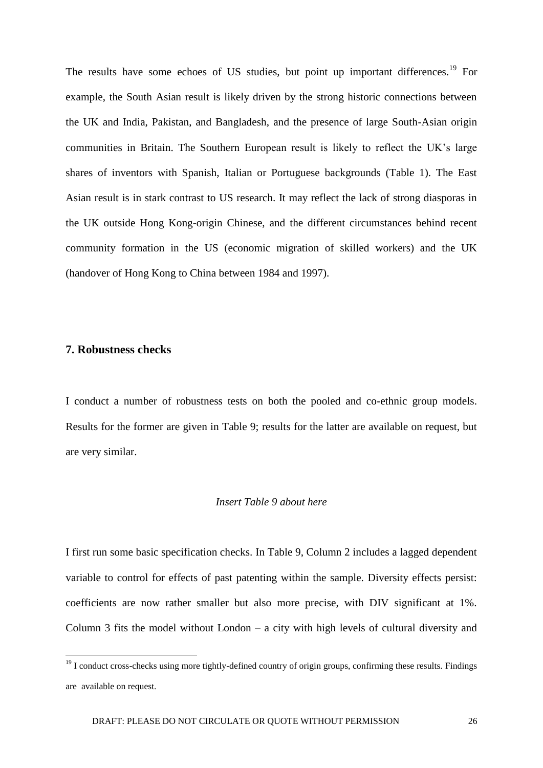The results have some echoes of US studies, but point up important differences.<sup>19</sup> For example, the South Asian result is likely driven by the strong historic connections between the UK and India, Pakistan, and Bangladesh, and the presence of large South-Asian origin communities in Britain. The Southern European result is likely to reflect the UK's large shares of inventors with Spanish, Italian or Portuguese backgrounds (Table 1). The East Asian result is in stark contrast to US research. It may reflect the lack of strong diasporas in the UK outside Hong Kong-origin Chinese, and the different circumstances behind recent community formation in the US (economic migration of skilled workers) and the UK (handover of Hong Kong to China between 1984 and 1997).

# **7. Robustness checks**

1

I conduct a number of robustness tests on both the pooled and co-ethnic group models. Results for the former are given in Table 9; results for the latter are available on request, but are very similar.

### *Insert Table 9 about here*

I first run some basic specification checks. In Table 9, Column 2 includes a lagged dependent variable to control for effects of past patenting within the sample. Diversity effects persist: coefficients are now rather smaller but also more precise, with DIV significant at 1%. Column 3 fits the model without London – a city with high levels of cultural diversity and

 $19$  I conduct cross-checks using more tightly-defined country of origin groups, confirming these results. Findings are available on request.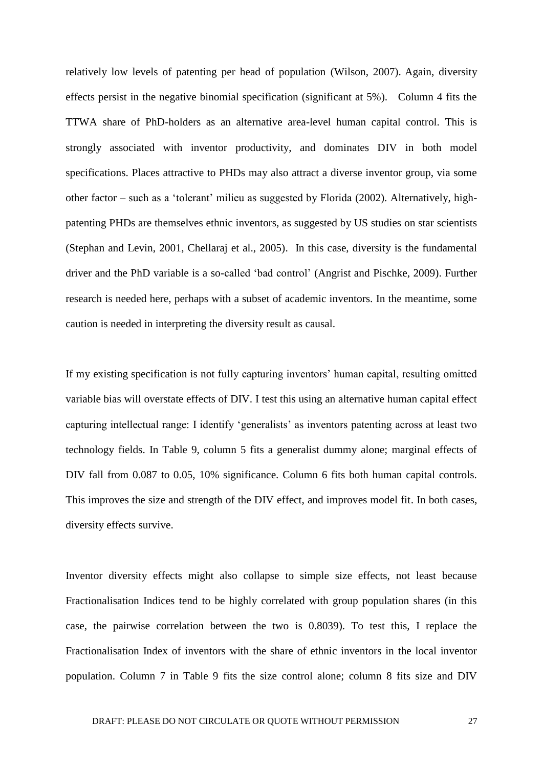relatively low levels of patenting per head of population (Wilson, 2007). Again, diversity effects persist in the negative binomial specification (significant at 5%). Column 4 fits the TTWA share of PhD-holders as an alternative area-level human capital control. This is strongly associated with inventor productivity, and dominates DIV in both model specifications. Places attractive to PHDs may also attract a diverse inventor group, via some other factor – such as a 'tolerant' milieu as suggested by Florida (2002). Alternatively, highpatenting PHDs are themselves ethnic inventors, as suggested by US studies on star scientists (Stephan and Levin, 2001, Chellaraj et al., 2005). In this case, diversity is the fundamental driver and the PhD variable is a so-called 'bad control' (Angrist and Pischke, 2009). Further research is needed here, perhaps with a subset of academic inventors. In the meantime, some caution is needed in interpreting the diversity result as causal.

If my existing specification is not fully capturing inventors' human capital, resulting omitted variable bias will overstate effects of DIV. I test this using an alternative human capital effect capturing intellectual range: I identify 'generalists' as inventors patenting across at least two technology fields. In Table 9, column 5 fits a generalist dummy alone; marginal effects of DIV fall from 0.087 to 0.05, 10% significance. Column 6 fits both human capital controls. This improves the size and strength of the DIV effect, and improves model fit. In both cases, diversity effects survive.

Inventor diversity effects might also collapse to simple size effects, not least because Fractionalisation Indices tend to be highly correlated with group population shares (in this case, the pairwise correlation between the two is 0.8039). To test this, I replace the Fractionalisation Index of inventors with the share of ethnic inventors in the local inventor population. Column 7 in Table 9 fits the size control alone; column 8 fits size and DIV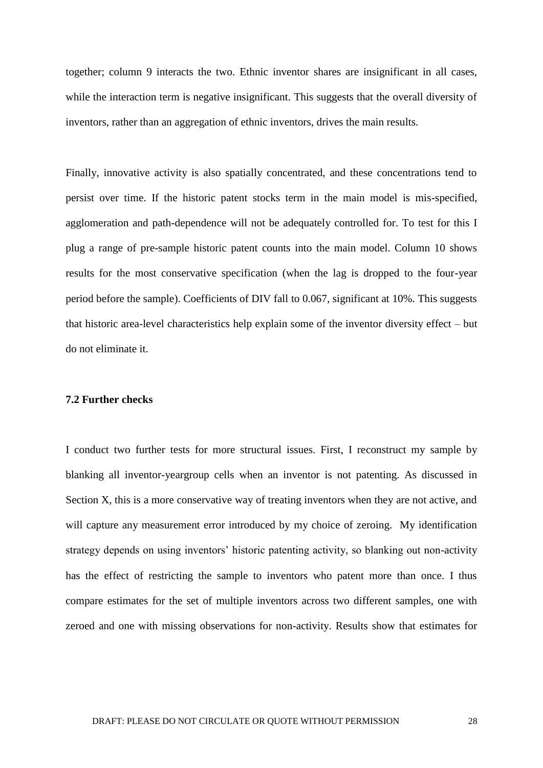together; column 9 interacts the two. Ethnic inventor shares are insignificant in all cases, while the interaction term is negative insignificant. This suggests that the overall diversity of inventors, rather than an aggregation of ethnic inventors, drives the main results.

Finally, innovative activity is also spatially concentrated, and these concentrations tend to persist over time. If the historic patent stocks term in the main model is mis-specified, agglomeration and path-dependence will not be adequately controlled for. To test for this I plug a range of pre-sample historic patent counts into the main model. Column 10 shows results for the most conservative specification (when the lag is dropped to the four-year period before the sample). Coefficients of DIV fall to 0.067, significant at 10%. This suggests that historic area-level characteristics help explain some of the inventor diversity effect – but do not eliminate it.

#### **7.2 Further checks**

I conduct two further tests for more structural issues. First, I reconstruct my sample by blanking all inventor-yeargroup cells when an inventor is not patenting. As discussed in Section X, this is a more conservative way of treating inventors when they are not active, and will capture any measurement error introduced by my choice of zeroing. My identification strategy depends on using inventors' historic patenting activity, so blanking out non-activity has the effect of restricting the sample to inventors who patent more than once. I thus compare estimates for the set of multiple inventors across two different samples, one with zeroed and one with missing observations for non-activity. Results show that estimates for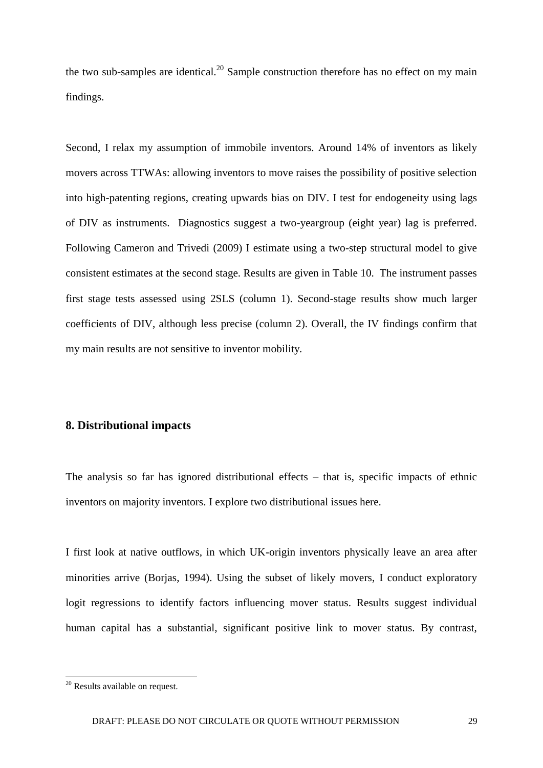the two sub-samples are identical.<sup>20</sup> Sample construction therefore has no effect on my main findings.

Second, I relax my assumption of immobile inventors. Around 14% of inventors as likely movers across TTWAs: allowing inventors to move raises the possibility of positive selection into high-patenting regions, creating upwards bias on DIV. I test for endogeneity using lags of DIV as instruments. Diagnostics suggest a two-yeargroup (eight year) lag is preferred. Following Cameron and Trivedi (2009) I estimate using a two-step structural model to give consistent estimates at the second stage. Results are given in Table 10. The instrument passes first stage tests assessed using 2SLS (column 1). Second-stage results show much larger coefficients of DIV, although less precise (column 2). Overall, the IV findings confirm that my main results are not sensitive to inventor mobility.

# **8. Distributional impacts**

The analysis so far has ignored distributional effects – that is, specific impacts of ethnic inventors on majority inventors. I explore two distributional issues here.

I first look at native outflows, in which UK-origin inventors physically leave an area after minorities arrive (Borjas, 1994). Using the subset of likely movers, I conduct exploratory logit regressions to identify factors influencing mover status. Results suggest individual human capital has a substantial, significant positive link to mover status. By contrast,

1

 $20$  Results available on request.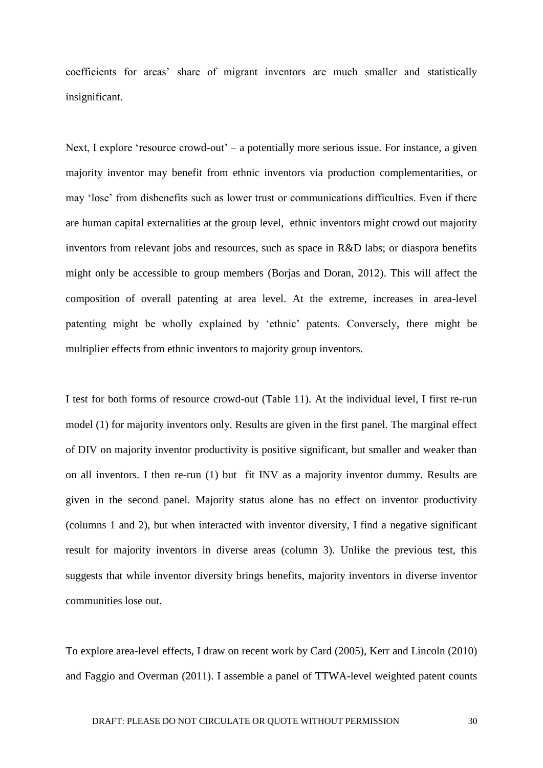coefficients for areas' share of migrant inventors are much smaller and statistically insignificant.

Next, I explore 'resource crowd-out' – a potentially more serious issue. For instance, a given majority inventor may benefit from ethnic inventors via production complementarities, or may 'lose' from disbenefits such as lower trust or communications difficulties. Even if there are human capital externalities at the group level, ethnic inventors might crowd out majority inventors from relevant jobs and resources, such as space in R&D labs; or diaspora benefits might only be accessible to group members (Borjas and Doran, 2012). This will affect the composition of overall patenting at area level. At the extreme, increases in area-level patenting might be wholly explained by 'ethnic' patents. Conversely, there might be multiplier effects from ethnic inventors to majority group inventors.

I test for both forms of resource crowd-out (Table 11). At the individual level, I first re-run model (1) for majority inventors only. Results are given in the first panel. The marginal effect of DIV on majority inventor productivity is positive significant, but smaller and weaker than on all inventors. I then re-run (1) but fit INV as a majority inventor dummy. Results are given in the second panel. Majority status alone has no effect on inventor productivity (columns 1 and 2), but when interacted with inventor diversity, I find a negative significant result for majority inventors in diverse areas (column 3). Unlike the previous test, this suggests that while inventor diversity brings benefits, majority inventors in diverse inventor communities lose out.

To explore area-level effects, I draw on recent work by Card (2005), Kerr and Lincoln (2010) and Faggio and Overman (2011). I assemble a panel of TTWA-level weighted patent counts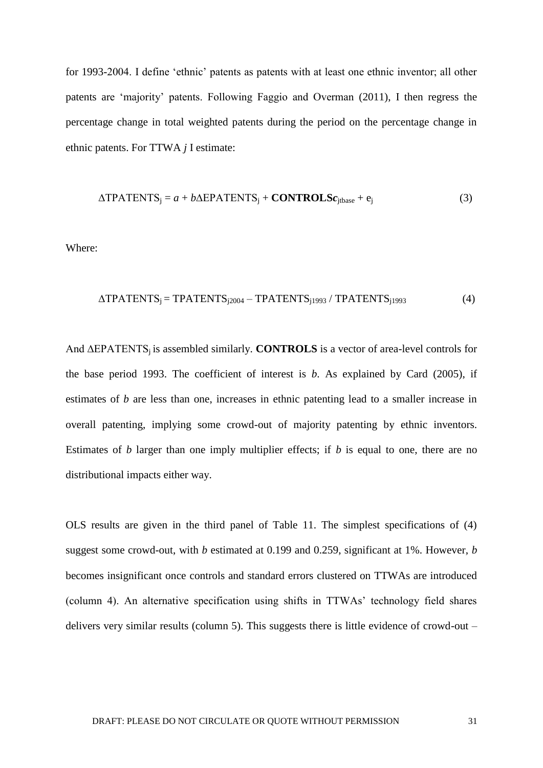for 1993-2004. I define 'ethnic' patents as patents with at least one ethnic inventor; all other patents are 'majority' patents. Following Faggio and Overman (2011), I then regress the percentage change in total weighted patents during the period on the percentage change in ethnic patents. For TTWA *j* I estimate:

$$
\Delta \text{TPATENTS}_{j} = a + b\Delta \text{EPATENTS}_{j} + \text{CONTROLS}c_{j\text{phase}} + e_{j}
$$
(3)

Where:

$$
\Delta \text{TPATENTS}_{j} = \text{TPATENTS}_{j2004} - \text{TPATENTS}_{j1993} / \text{TPATENTS}_{j1993} \tag{4}
$$

And ∆EPATENTSj is assembled similarly. **CONTROLS** is a vector of area-level controls for the base period 1993. The coefficient of interest is *b*. As explained by Card (2005), if estimates of *b* are less than one, increases in ethnic patenting lead to a smaller increase in overall patenting, implying some crowd-out of majority patenting by ethnic inventors. Estimates of *b* larger than one imply multiplier effects; if *b* is equal to one, there are no distributional impacts either way.

OLS results are given in the third panel of Table 11. The simplest specifications of (4) suggest some crowd-out, with *b* estimated at 0.199 and 0.259, significant at 1%. However, *b*  becomes insignificant once controls and standard errors clustered on TTWAs are introduced (column 4). An alternative specification using shifts in TTWAs' technology field shares delivers very similar results (column 5). This suggests there is little evidence of crowd-out –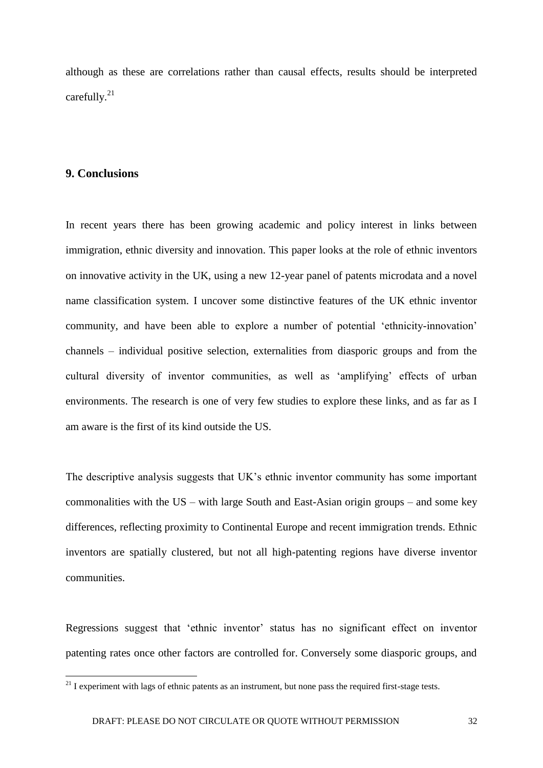although as these are correlations rather than causal effects, results should be interpreted carefully. $21$ 

## **9. Conclusions**

1

In recent years there has been growing academic and policy interest in links between immigration, ethnic diversity and innovation. This paper looks at the role of ethnic inventors on innovative activity in the UK, using a new 12-year panel of patents microdata and a novel name classification system. I uncover some distinctive features of the UK ethnic inventor community, and have been able to explore a number of potential 'ethnicity-innovation' channels – individual positive selection, externalities from diasporic groups and from the cultural diversity of inventor communities, as well as 'amplifying' effects of urban environments. The research is one of very few studies to explore these links, and as far as I am aware is the first of its kind outside the US.

The descriptive analysis suggests that UK's ethnic inventor community has some important commonalities with the US – with large South and East-Asian origin groups – and some key differences, reflecting proximity to Continental Europe and recent immigration trends. Ethnic inventors are spatially clustered, but not all high-patenting regions have diverse inventor communities.

Regressions suggest that 'ethnic inventor' status has no significant effect on inventor patenting rates once other factors are controlled for. Conversely some diasporic groups, and

 $21$  I experiment with lags of ethnic patents as an instrument, but none pass the required first-stage tests.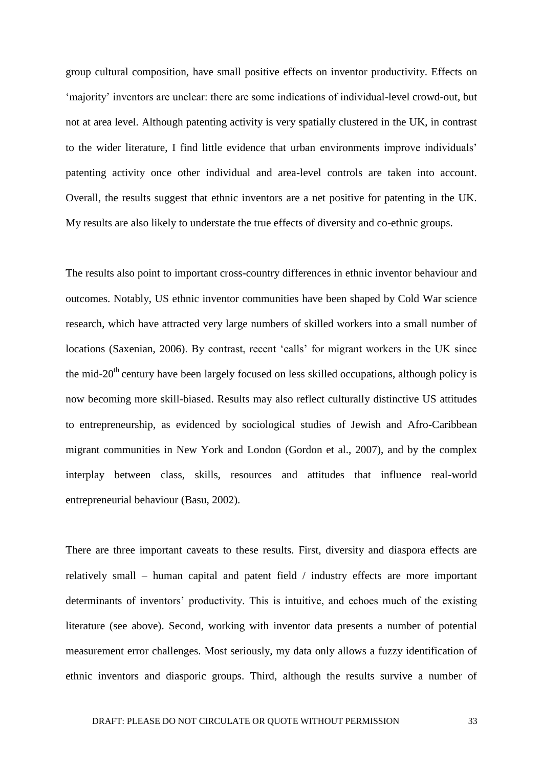group cultural composition, have small positive effects on inventor productivity. Effects on 'majority' inventors are unclear: there are some indications of individual-level crowd-out, but not at area level. Although patenting activity is very spatially clustered in the UK, in contrast to the wider literature, I find little evidence that urban environments improve individuals' patenting activity once other individual and area-level controls are taken into account. Overall, the results suggest that ethnic inventors are a net positive for patenting in the UK. My results are also likely to understate the true effects of diversity and co-ethnic groups.

The results also point to important cross-country differences in ethnic inventor behaviour and outcomes. Notably, US ethnic inventor communities have been shaped by Cold War science research, which have attracted very large numbers of skilled workers into a small number of locations (Saxenian, 2006). By contrast, recent 'calls' for migrant workers in the UK since the mid-20<sup>th</sup> century have been largely focused on less skilled occupations, although policy is now becoming more skill-biased. Results may also reflect culturally distinctive US attitudes to entrepreneurship, as evidenced by sociological studies of Jewish and Afro-Caribbean migrant communities in New York and London (Gordon et al., 2007), and by the complex interplay between class, skills, resources and attitudes that influence real-world entrepreneurial behaviour (Basu, 2002).

There are three important caveats to these results. First, diversity and diaspora effects are relatively small – human capital and patent field / industry effects are more important determinants of inventors' productivity. This is intuitive, and echoes much of the existing literature (see above). Second, working with inventor data presents a number of potential measurement error challenges. Most seriously, my data only allows a fuzzy identification of ethnic inventors and diasporic groups. Third, although the results survive a number of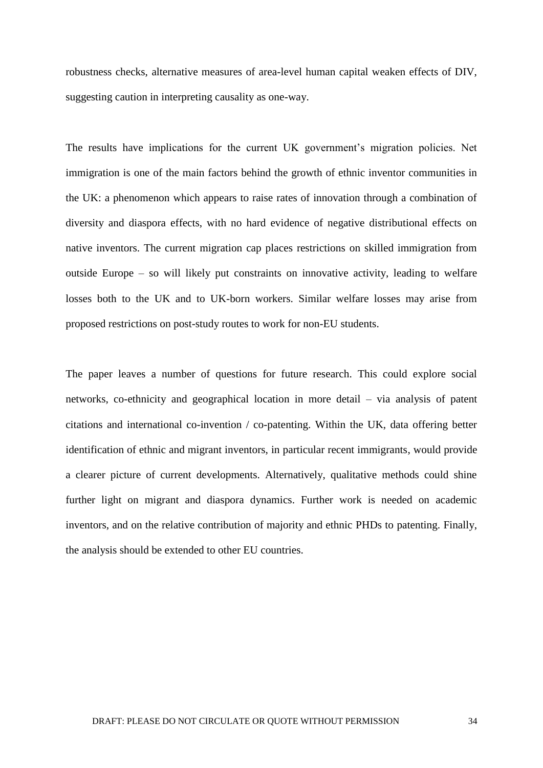robustness checks, alternative measures of area-level human capital weaken effects of DIV, suggesting caution in interpreting causality as one-way.

The results have implications for the current UK government's migration policies. Net immigration is one of the main factors behind the growth of ethnic inventor communities in the UK: a phenomenon which appears to raise rates of innovation through a combination of diversity and diaspora effects, with no hard evidence of negative distributional effects on native inventors. The current migration cap places restrictions on skilled immigration from outside Europe – so will likely put constraints on innovative activity, leading to welfare losses both to the UK and to UK-born workers. Similar welfare losses may arise from proposed restrictions on post-study routes to work for non-EU students.

The paper leaves a number of questions for future research. This could explore social networks, co-ethnicity and geographical location in more detail – via analysis of patent citations and international co-invention / co-patenting. Within the UK, data offering better identification of ethnic and migrant inventors, in particular recent immigrants, would provide a clearer picture of current developments. Alternatively, qualitative methods could shine further light on migrant and diaspora dynamics. Further work is needed on academic inventors, and on the relative contribution of majority and ethnic PHDs to patenting. Finally, the analysis should be extended to other EU countries.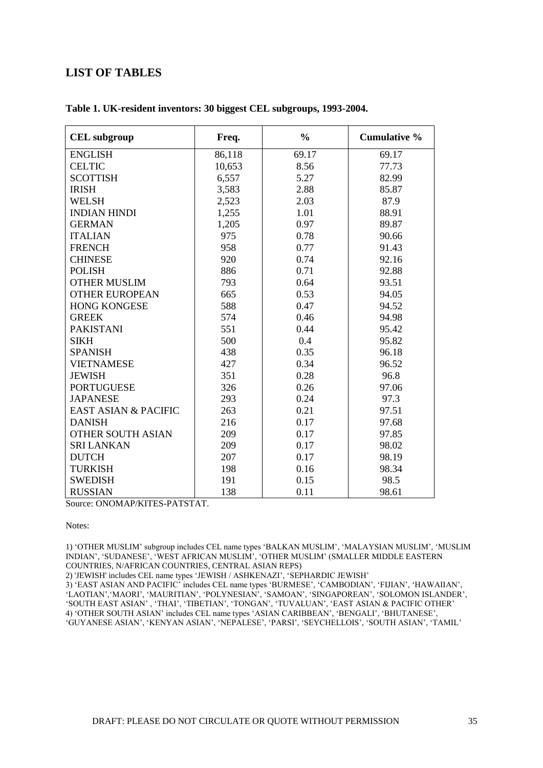# **LIST OF TABLES**

| <b>CEL</b> subgroup             | Freq.  | $\frac{0}{0}$ | <b>Cumulative %</b> |
|---------------------------------|--------|---------------|---------------------|
| <b>ENGLISH</b>                  | 86,118 | 69.17         | 69.17               |
| <b>CELTIC</b>                   | 10,653 | 8.56          | 77.73               |
| <b>SCOTTISH</b>                 | 6,557  | 5.27          | 82.99               |
| <b>IRISH</b>                    | 3,583  | 2.88          | 85.87               |
| <b>WELSH</b>                    | 2,523  | 2.03          | 87.9                |
| <b>INDIAN HINDI</b>             | 1,255  | 1.01          | 88.91               |
| <b>GERMAN</b>                   | 1,205  | 0.97          | 89.87               |
| <b>ITALIAN</b>                  | 975    | 0.78          | 90.66               |
| <b>FRENCH</b>                   | 958    | 0.77          | 91.43               |
| <b>CHINESE</b>                  | 920    | 0.74          | 92.16               |
| <b>POLISH</b>                   | 886    | 0.71          | 92.88               |
| <b>OTHER MUSLIM</b>             | 793    | 0.64          | 93.51               |
| <b>OTHER EUROPEAN</b>           | 665    | 0.53          | 94.05               |
| <b>HONG KONGESE</b>             | 588    | 0.47          | 94.52               |
| <b>GREEK</b>                    | 574    | 0.46          | 94.98               |
| <b>PAKISTANI</b>                | 551    | 0.44          | 95.42               |
| <b>SIKH</b>                     | 500    | 0.4           | 95.82               |
| <b>SPANISH</b>                  | 438    | 0.35          | 96.18               |
| <b>VIETNAMESE</b>               | 427    | 0.34          | 96.52               |
| <b>JEWISH</b>                   | 351    | 0.28          | 96.8                |
| <b>PORTUGUESE</b>               | 326    | 0.26          | 97.06               |
| <b>JAPANESE</b>                 | 293    | 0.24          | 97.3                |
| <b>EAST ASIAN &amp; PACIFIC</b> | 263    | 0.21          | 97.51               |
| <b>DANISH</b>                   | 216    | 0.17          | 97.68               |
| <b>OTHER SOUTH ASIAN</b>        | 209    | 0.17          | 97.85               |
| <b>SRI LANKAN</b>               | 209    | 0.17          | 98.02               |
| <b>DUTCH</b>                    | 207    | 0.17          | 98.19               |
| <b>TURKISH</b>                  | 198    | 0.16          | 98.34               |
| <b>SWEDISH</b>                  | 191    | 0.15          | 98.5                |
| <b>RUSSIAN</b>                  | 138    | 0.11          | 98.61               |

### **Table 1. UK-resident inventors: 30 biggest CEL subgroups, 1993-2004.**

Source: ONOMAP/KITES-PATSTAT.

#### Notes:

1) 'OTHER MUSLIM' subgroup includes CEL name types 'BALKAN MUSLIM', 'MALAYSIAN MUSLIM', 'MUSLIM INDIAN', 'SUDANESE', 'WEST AFRICAN MUSLIM', 'OTHER MUSLIM' (SMALLER MIDDLE EASTERN COUNTRIES, N/AFRICAN COUNTRIES, CENTRAL ASIAN REPS)

2) 'JEWISH' includes CEL name types 'JEWISH / ASHKENAZI', 'SEPHARDIC JEWISH'

3) 'EAST ASIAN AND PACIFIC' includes CEL name types 'BURMESE', 'CAMBODIAN', 'FIJIAN', 'HAWAIIAN', 'LAOTIAN','MAORI', 'MAURITIAN', 'POLYNESIAN', 'SAMOAN', 'SINGAPOREAN', 'SOLOMON ISLANDER', 'SOUTH EAST ASIAN' , 'THAI', 'TIBETIAN', 'TONGAN', 'TUVALUAN', 'EAST ASIAN & PACIFIC OTHER' 4) 'OTHER SOUTH ASIAN' includes CEL name types 'ASIAN CARIBBEAN', 'BENGALI', 'BHUTANESE', 'GUYANESE ASIAN', 'KENYAN ASIAN', 'NEPALESE', 'PARSI', 'SEYCHELLOIS', 'SOUTH ASIAN', 'TAMIL'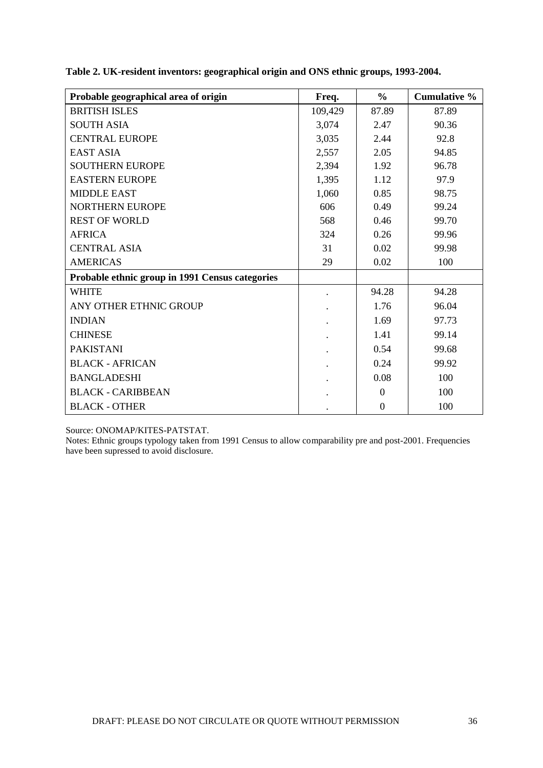| Probable geographical area of origin            | Freq.   | $\frac{6}{6}$  | Cumulative % |
|-------------------------------------------------|---------|----------------|--------------|
| <b>BRITISH ISLES</b>                            | 109,429 | 87.89          | 87.89        |
| <b>SOUTH ASIA</b>                               | 3,074   | 2.47           | 90.36        |
| <b>CENTRAL EUROPE</b>                           | 3,035   | 2.44           | 92.8         |
| <b>EAST ASIA</b>                                | 2,557   | 2.05           | 94.85        |
| <b>SOUTHERN EUROPE</b>                          | 2,394   | 1.92           | 96.78        |
| <b>EASTERN EUROPE</b>                           | 1,395   | 1.12           | 97.9         |
| <b>MIDDLE EAST</b>                              | 1,060   | 0.85           | 98.75        |
| <b>NORTHERN EUROPE</b>                          | 606     | 0.49           | 99.24        |
| <b>REST OF WORLD</b>                            | 568     | 0.46           | 99.70        |
| <b>AFRICA</b>                                   | 324     | 0.26           | 99.96        |
| <b>CENTRAL ASIA</b>                             | 31      | 0.02           | 99.98        |
| <b>AMERICAS</b>                                 | 29      | 0.02           | 100          |
| Probable ethnic group in 1991 Census categories |         |                |              |
| <b>WHITE</b>                                    |         | 94.28          | 94.28        |
| ANY OTHER ETHNIC GROUP                          |         | 1.76           | 96.04        |
| <b>INDIAN</b>                                   |         | 1.69           | 97.73        |
| <b>CHINESE</b>                                  |         | 1.41           | 99.14        |
| <b>PAKISTANI</b>                                |         | 0.54           | 99.68        |
| <b>BLACK - AFRICAN</b>                          |         | 0.24           | 99.92        |
| <b>BANGLADESHI</b>                              |         | 0.08           | 100          |
| <b>BLACK - CARIBBEAN</b>                        |         | $\theta$       | 100          |
| <b>BLACK - OTHER</b>                            |         | $\overline{0}$ | 100          |

**Table 2. UK-resident inventors: geographical origin and ONS ethnic groups, 1993-2004.**

Source: ONOMAP/KITES-PATSTAT.

Notes: Ethnic groups typology taken from 1991 Census to allow comparability pre and post-2001. Frequencies have been supressed to avoid disclosure.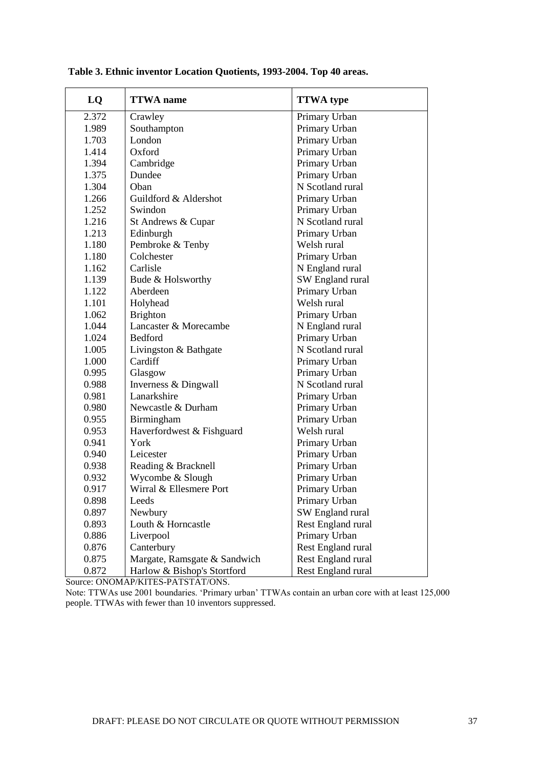| LQ    | <b>TTWA</b> name                                   | <b>TTWA</b> type   |  |  |
|-------|----------------------------------------------------|--------------------|--|--|
| 2.372 | Crawley                                            | Primary Urban      |  |  |
| 1.989 | Southampton                                        | Primary Urban      |  |  |
| 1.703 | London                                             | Primary Urban      |  |  |
| 1.414 | Oxford                                             | Primary Urban      |  |  |
| 1.394 | Cambridge                                          | Primary Urban      |  |  |
| 1.375 | Dundee                                             | Primary Urban      |  |  |
| 1.304 | Oban                                               | N Scotland rural   |  |  |
| 1.266 | Guildford & Aldershot                              | Primary Urban      |  |  |
| 1.252 | Swindon                                            | Primary Urban      |  |  |
| 1.216 | St Andrews & Cupar                                 | N Scotland rural   |  |  |
| 1.213 | Edinburgh                                          | Primary Urban      |  |  |
| 1.180 | Pembroke & Tenby                                   | Welsh rural        |  |  |
| 1.180 | Colchester                                         | Primary Urban      |  |  |
| 1.162 | Carlisle                                           | N England rural    |  |  |
| 1.139 | Bude & Holsworthy                                  | SW England rural   |  |  |
| 1.122 | Aberdeen                                           | Primary Urban      |  |  |
| 1.101 | Holyhead                                           | Welsh rural        |  |  |
| 1.062 | <b>Brighton</b>                                    | Primary Urban      |  |  |
| 1.044 | Lancaster & Morecambe                              | N England rural    |  |  |
| 1.024 | Bedford                                            | Primary Urban      |  |  |
| 1.005 | Livingston & Bathgate                              | N Scotland rural   |  |  |
| 1.000 | Cardiff                                            | Primary Urban      |  |  |
| 0.995 | Glasgow                                            | Primary Urban      |  |  |
| 0.988 | Inverness & Dingwall                               | N Scotland rural   |  |  |
| 0.981 | Lanarkshire                                        | Primary Urban      |  |  |
| 0.980 | Newcastle & Durham                                 | Primary Urban      |  |  |
| 0.955 | Birmingham                                         | Primary Urban      |  |  |
| 0.953 | Haverfordwest & Fishguard                          | Welsh rural        |  |  |
| 0.941 | York                                               | Primary Urban      |  |  |
| 0.940 | Leicester                                          | Primary Urban      |  |  |
| 0.938 | Reading & Bracknell                                | Primary Urban      |  |  |
| 0.932 | Wycombe & Slough                                   | Primary Urban      |  |  |
| 0.917 | Wirral & Ellesmere Port                            | Primary Urban      |  |  |
| 0.898 | Leeds                                              | Primary Urban      |  |  |
| 0.897 | Newbury                                            | SW England rural   |  |  |
| 0.893 | Louth & Horncastle                                 | Rest England rural |  |  |
| 0.886 | Liverpool                                          | Primary Urban      |  |  |
| 0.876 | Canterbury<br>Rest England rural                   |                    |  |  |
| 0.875 | Margate, Ramsgate & Sandwich<br>Rest England rural |                    |  |  |
| 0.872 | Harlow & Bishop's Stortford                        | Rest England rural |  |  |

**Table 3. Ethnic inventor Location Quotients, 1993-2004. Top 40 areas.**

Source: ONOMAP/KITES-PATSTAT/ONS.

Note: TTWAs use 2001 boundaries. 'Primary urban' TTWAs contain an urban core with at least 125,000 people. TTWAs with fewer than 10 inventors suppressed.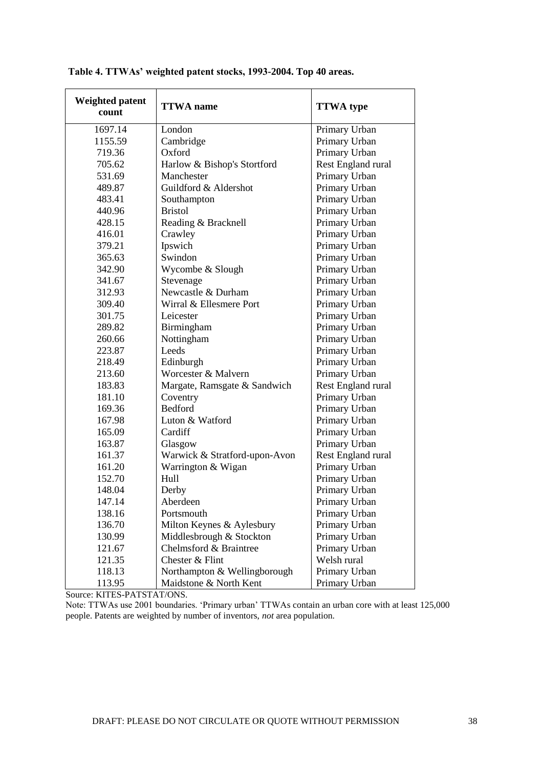| <b>Weighted patent</b><br>count. | <b>TTWA</b> name              | <b>TTWA</b> type   |
|----------------------------------|-------------------------------|--------------------|
| 1697.14                          | London                        | Primary Urban      |
| 1155.59                          | Cambridge                     | Primary Urban      |
| 719.36                           | Oxford                        | Primary Urban      |
| 705.62                           | Harlow & Bishop's Stortford   | Rest England rural |
| 531.69                           | Manchester                    | Primary Urban      |
| 489.87                           | Guildford & Aldershot         | Primary Urban      |
| 483.41                           | Southampton                   | Primary Urban      |
| 440.96                           | <b>Bristol</b>                | Primary Urban      |
| 428.15                           | Reading & Bracknell           | Primary Urban      |
| 416.01                           | Crawley                       | Primary Urban      |
| 379.21                           | Ipswich                       | Primary Urban      |
| 365.63                           | Swindon                       | Primary Urban      |
| 342.90                           | Wycombe & Slough              | Primary Urban      |
| 341.67                           | Stevenage                     | Primary Urban      |
| 312.93                           | Newcastle & Durham            | Primary Urban      |
| 309.40                           | Wirral & Ellesmere Port       | Primary Urban      |
| 301.75                           | Leicester                     | Primary Urban      |
| 289.82                           | Birmingham                    | Primary Urban      |
| 260.66                           | Nottingham                    | Primary Urban      |
| 223.87                           | Leeds                         | Primary Urban      |
| 218.49                           | Edinburgh                     | Primary Urban      |
| 213.60                           | Worcester & Malvern           | Primary Urban      |
| 183.83                           | Margate, Ramsgate & Sandwich  | Rest England rural |
| 181.10                           | Coventry                      | Primary Urban      |
| 169.36                           | Bedford                       | Primary Urban      |
| 167.98                           | Luton & Watford               | Primary Urban      |
| 165.09                           | Cardiff                       | Primary Urban      |
| 163.87                           | Glasgow                       | Primary Urban      |
| 161.37                           | Warwick & Stratford-upon-Avon | Rest England rural |
| 161.20                           | Warrington & Wigan            | Primary Urban      |
| 152.70                           | Hull                          | Primary Urban      |
| 148.04                           | Derby                         | Primary Urban      |
| 147.14                           | Aberdeen                      | Primary Urban      |
| 138.16                           | Portsmouth                    | Primary Urban      |
| 136.70                           | Milton Keynes & Aylesbury     | Primary Urban      |
| 130.99                           | Middlesbrough & Stockton      | Primary Urban      |
| 121.67                           | Chelmsford & Braintree        | Primary Urban      |
| 121.35                           | Chester & Flint               | Welsh rural        |
| 118.13                           | Northampton & Wellingborough  | Primary Urban      |
| 113.95                           | Maidstone & North Kent        | Primary Urban      |

**Table 4. TTWAs' weighted patent stocks, 1993-2004. Top 40 areas.**

Source: KITES-PATSTAT/ONS.

Note: TTWAs use 2001 boundaries. 'Primary urban' TTWAs contain an urban core with at least 125,000 people. Patents are weighted by number of inventors, *not* area population.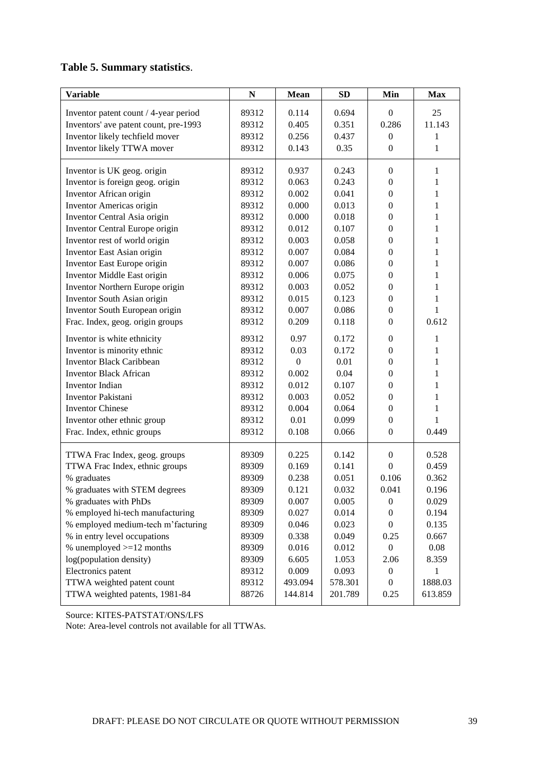# **Table 5. Summary statistics**.

| <b>Variable</b>                       | N     | Mean             | <b>SD</b> | Min              | <b>Max</b> |
|---------------------------------------|-------|------------------|-----------|------------------|------------|
| Inventor patent count / 4-year period | 89312 | 0.114            | 0.694     | $\Omega$         | 25         |
| Inventors' ave patent count, pre-1993 | 89312 | 0.405            | 0.351     | 0.286            | 11.143     |
| Inventor likely techfield mover       | 89312 | 0.256            | 0.437     | $\mathbf{0}$     | 1          |
| Inventor likely TTWA mover            | 89312 | 0.143            | 0.35      | $\boldsymbol{0}$ | 1          |
|                                       |       |                  |           |                  |            |
| Inventor is UK geog. origin           | 89312 | 0.937            | 0.243     | $\mathbf{0}$     | 1          |
| Inventor is foreign geog. origin      | 89312 | 0.063            | 0.243     | $\boldsymbol{0}$ | 1          |
| Inventor African origin               | 89312 | 0.002            | 0.041     | $\boldsymbol{0}$ | 1          |
| Inventor Americas origin              | 89312 | 0.000            | 0.013     | $\mathbf{0}$     | 1          |
| Inventor Central Asia origin          | 89312 | 0.000            | 0.018     | $\Omega$         | 1          |
| Inventor Central Europe origin        | 89312 | 0.012            | 0.107     | $\theta$         | 1          |
| Inventor rest of world origin         | 89312 | 0.003            | 0.058     | $\theta$         | 1          |
| Inventor East Asian origin            | 89312 | 0.007            | 0.084     | $\theta$         | 1          |
| Inventor East Europe origin           | 89312 | 0.007            | 0.086     | $\theta$         | 1          |
| Inventor Middle East origin           | 89312 | 0.006            | 0.075     | $\boldsymbol{0}$ | 1          |
| Inventor Northern Europe origin       | 89312 | 0.003            | 0.052     | $\boldsymbol{0}$ | 1          |
| Inventor South Asian origin           | 89312 | 0.015            | 0.123     | $\mathbf{0}$     | 1          |
| Inventor South European origin        | 89312 | 0.007            | 0.086     | $\mathbf{0}$     | 1          |
| Frac. Index, geog. origin groups      | 89312 | 0.209            | 0.118     | $\mathbf{0}$     | 0.612      |
| Inventor is white ethnicity           | 89312 | 0.97             | 0.172     | $\mathbf{0}$     | 1          |
| Inventor is minority ethnic           | 89312 | 0.03             | 0.172     | $\theta$         | 1          |
| <b>Inventor Black Caribbean</b>       | 89312 | $\boldsymbol{0}$ | 0.01      | $\theta$         | 1          |
| <b>Inventor Black African</b>         | 89312 | 0.002            | 0.04      | $\mathbf{0}$     | 1          |
| <b>Inventor Indian</b>                | 89312 | 0.012            | 0.107     | $\mathbf{0}$     | 1          |
| <b>Inventor Pakistani</b>             | 89312 | 0.003            | 0.052     | $\mathbf{0}$     | 1          |
| <b>Inventor Chinese</b>               | 89312 | 0.004            | 0.064     | $\mathbf{0}$     | 1          |
| Inventor other ethnic group           | 89312 | 0.01             | 0.099     | $\mathbf{0}$     | 1          |
| Frac. Index, ethnic groups            | 89312 | 0.108            | 0.066     | $\boldsymbol{0}$ | 0.449      |
| TTWA Frac Index, geog. groups         | 89309 | 0.225            | 0.142     | $\theta$         | 0.528      |
| TTWA Frac Index, ethnic groups        | 89309 | 0.169            | 0.141     | $\theta$         | 0.459      |
| % graduates                           | 89309 | 0.238            | 0.051     | 0.106            | 0.362      |
| % graduates with STEM degrees         | 89309 | 0.121            | 0.032     | 0.041            | 0.196      |
| % graduates with PhDs                 | 89309 | 0.007            | 0.005     | $\mathbf{0}$     | 0.029      |
| % employed hi-tech manufacturing      | 89309 | 0.027            | 0.014     | $\theta$         | 0.194      |
| % employed medium-tech m'facturing    | 89309 | 0.046            | 0.023     | $\mathbf{0}$     | 0.135      |
| % in entry level occupations          | 89309 | 0.338            | 0.049     | 0.25             | 0.667      |
| % unemployed $>=12$ months            | 89309 | 0.016            | 0.012     | $\mathbf{0}$     | 0.08       |
| log(population density)               | 89309 | 6.605            | 1.053     | 2.06             | 8.359      |
| Electronics patent                    | 89312 | 0.009            | 0.093     | $\boldsymbol{0}$ | 1          |
| TTWA weighted patent count            | 89312 | 493.094          | 578.301   | $\mathbf{0}$     | 1888.03    |
| TTWA weighted patents, 1981-84        | 88726 | 144.814          | 201.789   | 0.25             | 613.859    |
|                                       |       |                  |           |                  |            |

Source: KITES-PATSTAT/ONS/LFS

Note: Area-level controls not available for all TTWAs.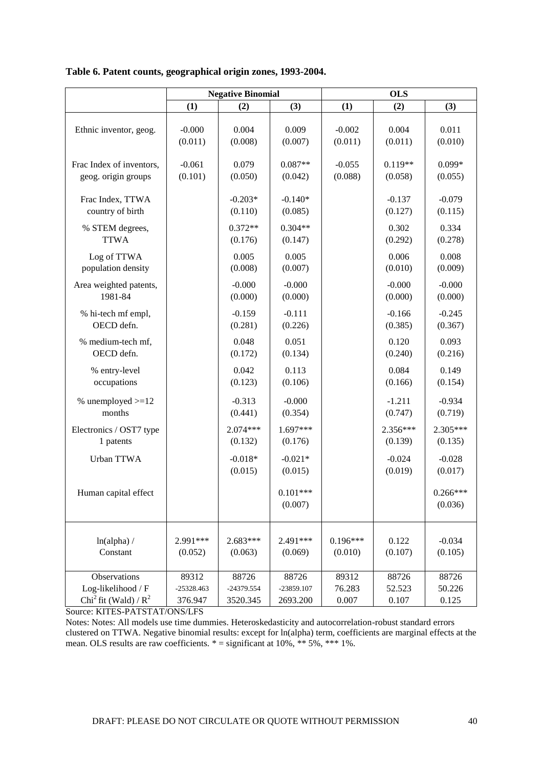| Table 6. Patent counts, geographical origin zones, 1993-2004. |  |  |
|---------------------------------------------------------------|--|--|
|---------------------------------------------------------------|--|--|

|                                                                           |                                  | <b>Negative Binomial</b>        |                                 |                          | <b>OLS</b>               |                          |
|---------------------------------------------------------------------------|----------------------------------|---------------------------------|---------------------------------|--------------------------|--------------------------|--------------------------|
|                                                                           | (1)                              | (2)                             | (3)                             | (1)                      | (2)                      | (3)                      |
| Ethnic inventor, geog.                                                    | $-0.000$<br>(0.011)              | 0.004<br>(0.008)                | 0.009<br>(0.007)                | $-0.002$<br>(0.011)      | 0.004<br>(0.011)         | 0.011<br>(0.010)         |
| Frac Index of inventors,<br>geog. origin groups                           | $-0.061$<br>(0.101)              | 0.079<br>(0.050)                | $0.087**$<br>(0.042)            | $-0.055$<br>(0.088)      | $0.119**$<br>(0.058)     | $0.099*$<br>(0.055)      |
| Frac Index, TTWA<br>country of birth                                      |                                  | $-0.203*$<br>(0.110)            | $-0.140*$<br>(0.085)            |                          | $-0.137$<br>(0.127)      | $-0.079$<br>(0.115)      |
| % STEM degrees,<br><b>TTWA</b>                                            |                                  | $0.372**$<br>(0.176)            | $0.304**$<br>(0.147)            |                          | 0.302<br>(0.292)         | 0.334<br>(0.278)         |
| Log of TTWA<br>population density                                         |                                  | 0.005<br>(0.008)                | 0.005<br>(0.007)                |                          | 0.006<br>(0.010)         | 0.008<br>(0.009)         |
| Area weighted patents,<br>1981-84                                         |                                  | $-0.000$<br>(0.000)             | $-0.000$<br>(0.000)             |                          | $-0.000$<br>(0.000)      | $-0.000$<br>(0.000)      |
| % hi-tech mf empl,<br>OECD defn.                                          |                                  | $-0.159$<br>(0.281)             | $-0.111$<br>(0.226)             |                          | $-0.166$<br>(0.385)      | $-0.245$<br>(0.367)      |
| % medium-tech mf,<br>OECD defn.                                           |                                  | 0.048<br>(0.172)                | 0.051<br>(0.134)                |                          | 0.120<br>(0.240)         | 0.093<br>(0.216)         |
| % entry-level<br>occupations                                              |                                  | 0.042<br>(0.123)                | 0.113<br>(0.106)                |                          | 0.084<br>(0.166)         | 0.149<br>(0.154)         |
| % unemployed $>=12$<br>months                                             |                                  | $-0.313$<br>(0.441)             | $-0.000$<br>(0.354)             |                          | $-1.211$<br>(0.747)      | $-0.934$<br>(0.719)      |
| Electronics / OST7 type<br>1 patents                                      |                                  | 2.074***<br>(0.132)             | $1.697***$<br>(0.176)           |                          | 2.356***<br>(0.139)      | 2.305***<br>(0.135)      |
| Urban TTWA                                                                |                                  | $-0.018*$<br>(0.015)            | $-0.021*$<br>(0.015)            |                          | $-0.024$<br>(0.019)      | $-0.028$<br>(0.017)      |
| Human capital effect                                                      |                                  |                                 | $0.101***$<br>(0.007)           |                          |                          | $0.266***$<br>(0.036)    |
| ln(alpha) /<br>Constant                                                   | 2.991***<br>(0.052)              | 2.683***<br>(0.063)             | 2.491***<br>(0.069)             | $0.196***$<br>(0.010)    | 0.122<br>(0.107)         | $-0.034$<br>(0.105)      |
| Observations<br>Log-likelihood / F<br>Chi <sup>2</sup> fit (Wald) / $R^2$ | 89312<br>$-25328.463$<br>376.947 | 88726<br>-24379.554<br>3520.345 | 88726<br>-23859.107<br>2693.200 | 89312<br>76.283<br>0.007 | 88726<br>52.523<br>0.107 | 88726<br>50.226<br>0.125 |

Source: KITES-PATSTAT/ONS/LFS

Notes: Notes: All models use time dummies. Heteroskedasticity and autocorrelation-robust standard errors clustered on TTWA. Negative binomial results: except for ln(alpha) term, coefficients are marginal effects at the mean. OLS results are raw coefficients.  $* =$  significant at 10%,  $* * 5\%$ ,  $** * 1\%$ .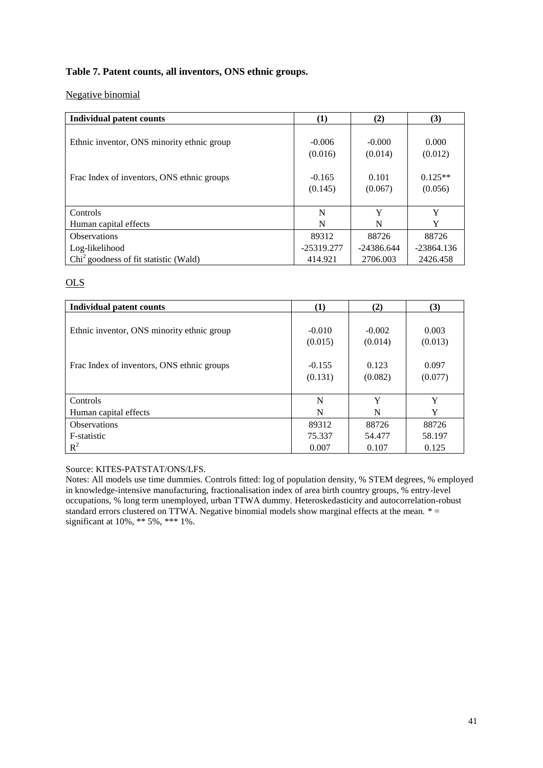# **Table 7. Patent counts, all inventors, ONS ethnic groups.**

## Negative binomial

| Individual patent counts                   | (1)          | (2)          | (3)          |
|--------------------------------------------|--------------|--------------|--------------|
|                                            |              |              |              |
| Ethnic inventor, ONS minority ethnic group | $-0.006$     | $-0.000$     | 0.000        |
|                                            | (0.016)      | (0.014)      | (0.012)      |
|                                            |              |              |              |
| Frac Index of inventors, ONS ethnic groups | $-0.165$     | 0.101        | $0.125**$    |
|                                            | (0.145)      | (0.067)      | (0.056)      |
|                                            |              |              |              |
| Controls                                   | N            | Y            | Y            |
| Human capital effects                      | N            | N            | Y            |
| <b>Observations</b>                        | 89312        | 88726        | 88726        |
| Log-likelihood                             | $-25319.277$ | $-24386.644$ | $-23864.136$ |
| $Chi2$ goodness of fit statistic (Wald)    | 414.921      | 2706.003     | 2426.458     |

# OLS

| <b>Individual patent counts</b>            | (1)      | (2)      | (3)     |
|--------------------------------------------|----------|----------|---------|
|                                            |          |          |         |
| Ethnic inventor, ONS minority ethnic group | $-0.010$ | $-0.002$ | 0.003   |
|                                            | (0.015)  | (0.014)  | (0.013) |
|                                            |          |          |         |
| Frac Index of inventors, ONS ethnic groups | $-0.155$ | 0.123    | 0.097   |
|                                            | (0.131)  | (0.082)  | (0.077) |
|                                            |          |          |         |
| Controls                                   | N        | Y        | Y       |
| Human capital effects                      | N        | N        | Y       |
| <b>Observations</b>                        | 89312    | 88726    | 88726   |
| F-statistic                                | 75.337   | 54.477   | 58.197  |
| $R^2$                                      | 0.007    | 0.107    | 0.125   |

Source: KITES-PATSTAT/ONS/LFS.

Notes: All models use time dummies. Controls fitted: log of population density, % STEM degrees, % employed in knowledge-intensive manufacturing, fractionalisation index of area birth country groups, % entry-level occupations, % long term unemployed, urban TTWA dummy. Heteroskedasticity and autocorrelation-robust standard errors clustered on TTWA. Negative binomial models show marginal effects at the mean. \*= significant at 10%, \*\* 5%, \*\*\* 1%.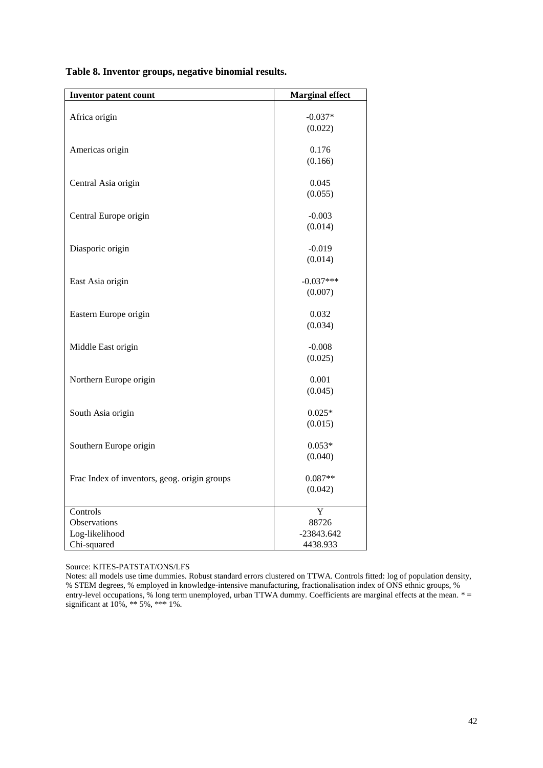**Table 8. Inventor groups, negative binomial results.** 

| <b>Inventor patent count</b>                 | <b>Marginal effect</b> |
|----------------------------------------------|------------------------|
|                                              |                        |
| Africa origin                                | $-0.037*$              |
|                                              | (0.022)                |
|                                              | 0.176                  |
| Americas origin                              | (0.166)                |
|                                              |                        |
| Central Asia origin                          | 0.045                  |
|                                              | (0.055)                |
|                                              |                        |
| Central Europe origin                        | $-0.003$               |
|                                              | (0.014)                |
|                                              |                        |
| Diasporic origin                             | $-0.019$               |
|                                              | (0.014)                |
| East Asia origin                             | $-0.037***$            |
|                                              | (0.007)                |
|                                              |                        |
| Eastern Europe origin                        | 0.032                  |
|                                              | (0.034)                |
|                                              |                        |
| Middle East origin                           | $-0.008$               |
|                                              | (0.025)                |
| Northern Europe origin                       | 0.001                  |
|                                              | (0.045)                |
|                                              |                        |
| South Asia origin                            | $0.025*$               |
|                                              | (0.015)                |
|                                              |                        |
| Southern Europe origin                       | $0.053*$               |
|                                              | (0.040)                |
|                                              | $0.087**$              |
| Frac Index of inventors, geog. origin groups |                        |
|                                              | (0.042)                |
| Controls                                     | Y                      |
| Observations                                 | 88726                  |
| Log-likelihood                               | $-23843.642$           |
| Chi-squared                                  | 4438.933               |

Source: KITES-PATSTAT/ONS/LFS

Notes: all models use time dummies. Robust standard errors clustered on TTWA. Controls fitted: log of population density, % STEM degrees, % employed in knowledge-intensive manufacturing, fractionalisation index of ONS ethnic groups, % entry-level occupations, % long term unemployed, urban TTWA dummy. Coefficients are marginal effects at the mean.  $* =$ significant at 10%, \*\* 5%, \*\*\* 1%.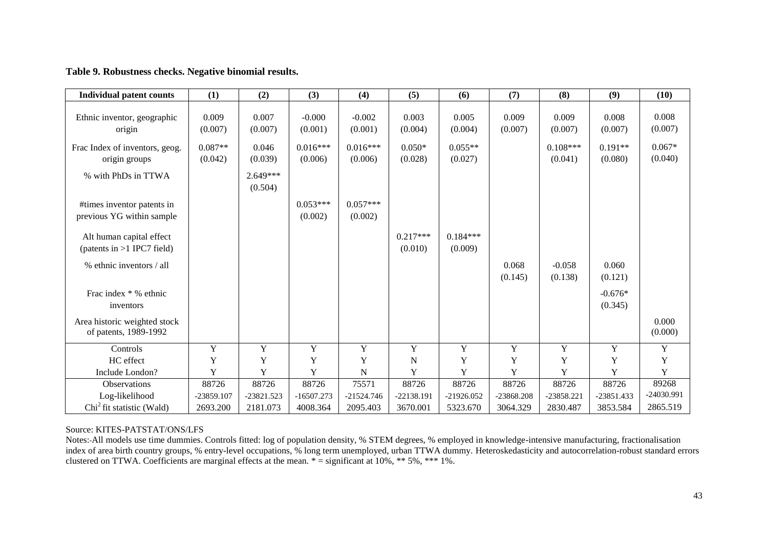# **Table 9. Robustness checks. Negative binomial results.**

| <b>Individual patent counts</b>                          | (1)                  | (2)                   | (3)                   | (4)                   | (5)                   | (6)                   | (7)              | (8)                   | (9)                  | (10)                |
|----------------------------------------------------------|----------------------|-----------------------|-----------------------|-----------------------|-----------------------|-----------------------|------------------|-----------------------|----------------------|---------------------|
| Ethnic inventor, geographic<br>origin                    | 0.009<br>(0.007)     | 0.007<br>(0.007)      | $-0.000$<br>(0.001)   | $-0.002$<br>(0.001)   | 0.003<br>(0.004)      | 0.005<br>(0.004)      | 0.009<br>(0.007) | 0.009<br>(0.007)      | 0.008<br>(0.007)     | 0.008<br>(0.007)    |
| Frac Index of inventors, geog.<br>origin groups          | $0.087**$<br>(0.042) | 0.046<br>(0.039)      | $0.016***$<br>(0.006) | $0.016***$<br>(0.006) | $0.050*$<br>(0.028)   | $0.055**$<br>(0.027)  |                  | $0.108***$<br>(0.041) | $0.191**$<br>(0.080) | $0.067*$<br>(0.040) |
| % with PhDs in TTWA                                      |                      | $2.649***$<br>(0.504) |                       |                       |                       |                       |                  |                       |                      |                     |
| #times inventor patents in<br>previous YG within sample  |                      |                       | $0.053***$<br>(0.002) | $0.057***$<br>(0.002) |                       |                       |                  |                       |                      |                     |
| Alt human capital effect<br>(patents in $>1$ IPC7 field) |                      |                       |                       |                       | $0.217***$<br>(0.010) | $0.184***$<br>(0.009) |                  |                       |                      |                     |
| % ethnic inventors / all                                 |                      |                       |                       |                       |                       |                       | 0.068<br>(0.145) | $-0.058$<br>(0.138)   | 0.060<br>(0.121)     |                     |
| Frac index $*$ % ethnic<br>inventors                     |                      |                       |                       |                       |                       |                       |                  |                       | $-0.676*$<br>(0.345) |                     |
| Area historic weighted stock<br>of patents, 1989-1992    |                      |                       |                       |                       |                       |                       |                  |                       |                      | 0.000<br>(0.000)    |
| Controls                                                 | Y                    | Y                     | Y                     | Y                     | Y                     | Y                     | Y                | Y                     | Y                    | Y                   |
| HC effect                                                | Y                    | Y                     | Y                     | Y                     | $\mathbf N$           | Y                     | Y                | Y                     | Y                    | Y                   |
| Include London?                                          | Y                    | Y                     | Y                     | N                     | Y                     | Y                     | Y                | Y                     | Y                    | Y                   |
| Observations                                             | 88726                | 88726                 | 88726                 | 75571                 | 88726                 | 88726                 | 88726            | 88726                 | 88726                | 89268               |
| Log-likelihood                                           | -23859.107           | -23821.523            | $-16507.273$          | $-21524.746$          | -22138.191            | $-21926.052$          | -23868.208       | $-23858.221$          | $-23851.433$         | -24030.991          |
| Chi <sup>2</sup> fit statistic (Wald)                    | 2693.200             | 2181.073              | 4008.364              | 2095.403              | 3670.001              | 5323.670              | 3064.329         | 2830.487              | 3853.584             | 2865.519            |

#### Source: KITES-PATSTAT/ONS/LFS

Notes: All models use time dummies. Controls fitted: log of population density, % STEM degrees, % employed in knowledge-intensive manufacturing, fractionalisation index of area birth country groups, % entry-level occupations, % long term unemployed, urban TTWA dummy. Heteroskedasticity and autocorrelation-robust standard errors clustered on TTWA. Coefficients are marginal effects at the mean. \* = significant at 10%, \*\* 5%, \*\*\* 1%.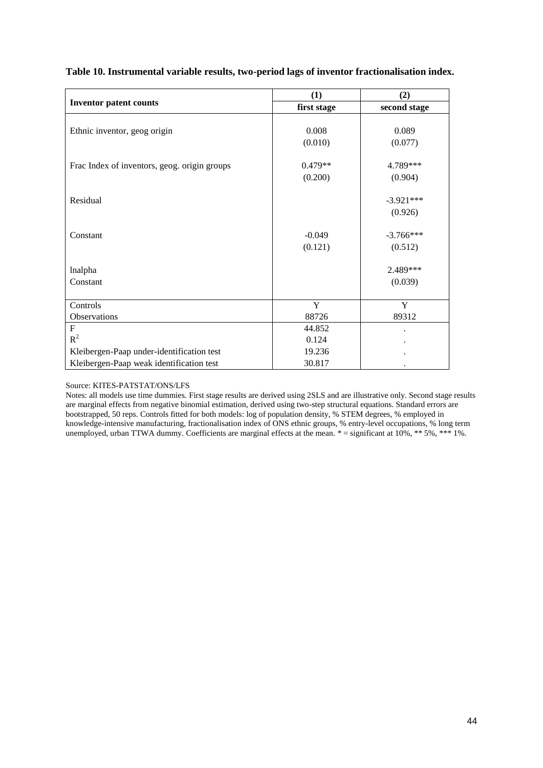|                                              | (1)         | (2)          |
|----------------------------------------------|-------------|--------------|
| <b>Inventor patent counts</b>                | first stage | second stage |
|                                              |             |              |
| Ethnic inventor, geog origin                 | 0.008       | 0.089        |
|                                              | (0.010)     | (0.077)      |
| Frac Index of inventors, geog. origin groups | $0.479**$   | 4.789***     |
|                                              |             | (0.904)      |
|                                              | (0.200)     |              |
| Residual                                     |             | $-3.921***$  |
|                                              |             | (0.926)      |
|                                              |             |              |
| Constant                                     | $-0.049$    | $-3.766***$  |
|                                              | (0.121)     | (0.512)      |
|                                              |             |              |
| lnalpha                                      |             | 2.489***     |
| Constant                                     |             | (0.039)      |
|                                              |             |              |
| Controls                                     | Y           | Y            |
| Observations                                 | 88726       | 89312        |
| ${\bf F}$                                    | 44.852      |              |
| $R^2$                                        | 0.124       |              |
| Kleibergen-Paap under-identification test    | 19.236      |              |
| Kleibergen-Paap weak identification test     | 30.817      |              |

# **Table 10. Instrumental variable results, two-period lags of inventor fractionalisation index.**

#### Source: KITES-PATSTAT/ONS/LFS

Notes: all models use time dummies. First stage results are derived using 2SLS and are illustrative only. Second stage results are marginal effects from negative binomial estimation, derived using two-step structural equations. Standard errors are bootstrapped, 50 reps. Controls fitted for both models: log of population density, % STEM degrees, % employed in knowledge-intensive manufacturing, fractionalisation index of ONS ethnic groups, % entry-level occupations, % long term unemployed, urban TTWA dummy. Coefficients are marginal effects at the mean. \* = significant at 10%, \*\* 5%, \*\*\* 1%.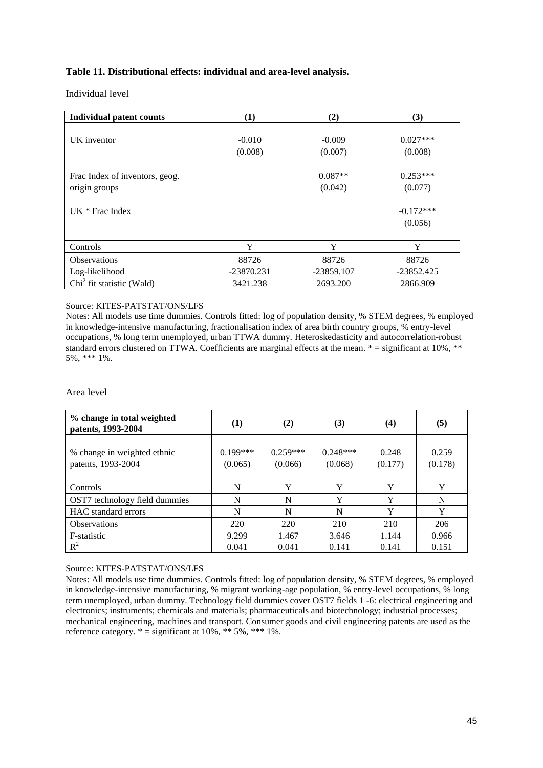# **Table 11. Distributional effects: individual and area-level analysis.**

Individual level

| <b>Individual patent counts</b> | (1)          | (2)        | (3)          |
|---------------------------------|--------------|------------|--------------|
|                                 |              |            |              |
| UK inventor                     | $-0.010$     | $-0.009$   | $0.027***$   |
|                                 | (0.008)      | (0.007)    | (0.008)      |
| Frac Index of inventors, geog.  |              | $0.087**$  | $0.253***$   |
| origin groups                   |              | (0.042)    | (0.077)      |
|                                 |              |            |              |
| $UK * Frac Index$               |              |            | $-0.172***$  |
|                                 |              |            | (0.056)      |
|                                 |              |            |              |
| Controls                        | Y            | Y          | Y            |
| <b>Observations</b>             | 88726        | 88726      | 88726        |
| Log-likelihood                  | $-23870.231$ | -23859.107 | $-23852.425$ |
| $Chi2$ fit statistic (Wald)     | 3421.238     | 2693.200   | 2866.909     |

#### Source: KITES-PATSTAT/ONS/LFS

Notes: All models use time dummies. Controls fitted: log of population density, % STEM degrees, % employed in knowledge-intensive manufacturing, fractionalisation index of area birth country groups, % entry-level occupations, % long term unemployed, urban TTWA dummy. Heteroskedasticity and autocorrelation-robust standard errors clustered on TTWA. Coefficients are marginal effects at the mean. \* = significant at 10%, \*\* 5%, \*\*\* 1%.

#### Area level

| % change in total weighted<br>patents, 1993-2004  | $\bf(1)$              | (2)                   | (3)                   | (4)              | (5)              |
|---------------------------------------------------|-----------------------|-----------------------|-----------------------|------------------|------------------|
| % change in weighted ethnic<br>patents, 1993-2004 | $0.199***$<br>(0.065) | $0.259***$<br>(0.066) | $0.248***$<br>(0.068) | 0.248<br>(0.177) | 0.259<br>(0.178) |
| Controls                                          | N                     | Y                     | Y                     | Y                | Y                |
| OST7 technology field dummies                     | N                     | N                     | Y                     | Y                | N                |
| HAC standard errors                               | N                     | N                     | N                     | Y                | Y                |
| <b>Observations</b>                               | 220                   | 220                   | 210                   | 210              | 206              |
| F-statistic                                       | 9.299                 | 1.467                 | 3.646                 | 1.144            | 0.966            |
| $R^2$                                             | 0.041                 | 0.041                 | 0.141                 | 0.141            | 0.151            |

#### Source: KITES-PATSTAT/ONS/LFS

Notes: All models use time dummies. Controls fitted: log of population density, % STEM degrees, % employed in knowledge-intensive manufacturing, % migrant working-age population, % entry-level occupations, % long term unemployed, urban dummy. Technology field dummies cover OST7 fields 1 -6: electrical engineering and electronics; instruments; chemicals and materials; pharmaceuticals and biotechnology; industrial processes; mechanical engineering, machines and transport. Consumer goods and civil engineering patents are used as the reference category.  $* =$  significant at 10%,  $**$  5%,  $***$  1%.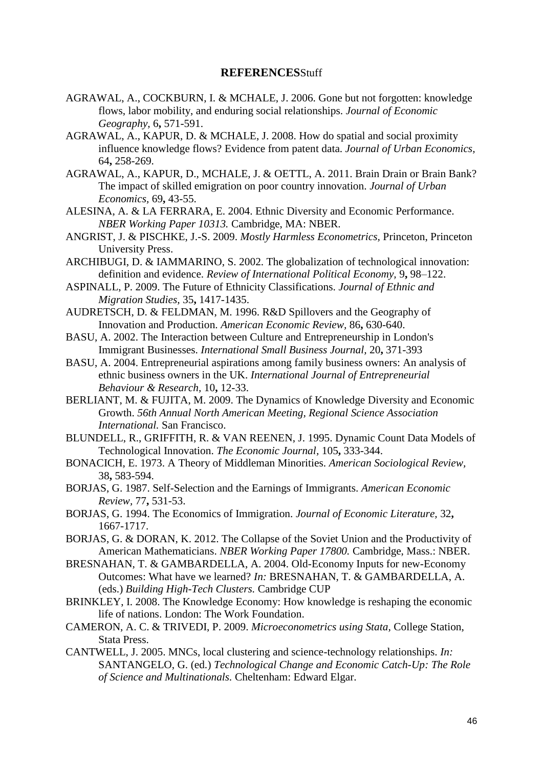# **REFERENCES**Stuff

- AGRAWAL, A., COCKBURN, I. & MCHALE, J. 2006. Gone but not forgotten: knowledge flows, labor mobility, and enduring social relationships. *Journal of Economic Geography,* 6**,** 571-591.
- AGRAWAL, A., KAPUR, D. & MCHALE, J. 2008. How do spatial and social proximity influence knowledge flows? Evidence from patent data. *Journal of Urban Economics,* 64**,** 258-269.
- AGRAWAL, A., KAPUR, D., MCHALE, J. & OETTL, A. 2011. Brain Drain or Brain Bank? The impact of skilled emigration on poor country innovation. *Journal of Urban Economics,* 69**,** 43-55.
- ALESINA, A. & LA FERRARA, E. 2004. Ethnic Diversity and Economic Performance. *NBER Working Paper 10313.* Cambridge, MA: NBER.
- ANGRIST, J. & PISCHKE, J.-S. 2009. *Mostly Harmless Econometrics,* Princeton, Princeton University Press.
- ARCHIBUGI, D. & IAMMARINO, S. 2002. The globalization of technological innovation: definition and evidence. *Review of International Political Economy,* 9**,** 98–122.
- ASPINALL, P. 2009. The Future of Ethnicity Classifications. *Journal of Ethnic and Migration Studies,* 35**,** 1417-1435.
- AUDRETSCH, D. & FELDMAN, M. 1996. R&D Spillovers and the Geography of Innovation and Production. *American Economic Review,* 86**,** 630-640.
- BASU, A. 2002. The Interaction between Culture and Entrepreneurship in London's Immigrant Businesses. *International Small Business Journal,* 20**,** 371-393
- BASU, A. 2004. Entrepreneurial aspirations among family business owners: An analysis of ethnic business owners in the UK. *International Journal of Entrepreneurial Behaviour & Research,* 10**,** 12-33.
- BERLIANT, M. & FUJITA, M. 2009. The Dynamics of Knowledge Diversity and Economic Growth. *56th Annual North American Meeting, Regional Science Association International.* San Francisco.
- BLUNDELL, R., GRIFFITH, R. & VAN REENEN, J. 1995. Dynamic Count Data Models of Technological Innovation. *The Economic Journal,* 105**,** 333-344.
- BONACICH, E. 1973. A Theory of Middleman Minorities. *American Sociological Review,* 38**,** 583-594.
- BORJAS, G. 1987. Self-Selection and the Earnings of Immigrants. *American Economic Review,* 77**,** 531-53.
- BORJAS, G. 1994. The Economics of Immigration. *Journal of Economic Literature,* 32**,** 1667-1717.
- BORJAS, G. & DORAN, K. 2012. The Collapse of the Soviet Union and the Productivity of American Mathematicians. *NBER Working Paper 17800.* Cambridge, Mass.: NBER.
- BRESNAHAN, T. & GAMBARDELLA, A. 2004. Old-Economy Inputs for new-Economy Outcomes: What have we learned? *In:* BRESNAHAN, T. & GAMBARDELLA, A. (eds.) *Building High-Tech Clusters.* Cambridge CUP
- BRINKLEY, I. 2008. The Knowledge Economy: How knowledge is reshaping the economic life of nations. London: The Work Foundation.
- CAMERON, A. C. & TRIVEDI, P. 2009. *Microeconometrics using Stata,* College Station, Stata Press.
- CANTWELL, J. 2005. MNCs, local clustering and science-technology relationships. *In:* SANTANGELO, G. (ed.) *Technological Change and Economic Catch-Up: The Role of Science and Multinationals.* Cheltenham: Edward Elgar.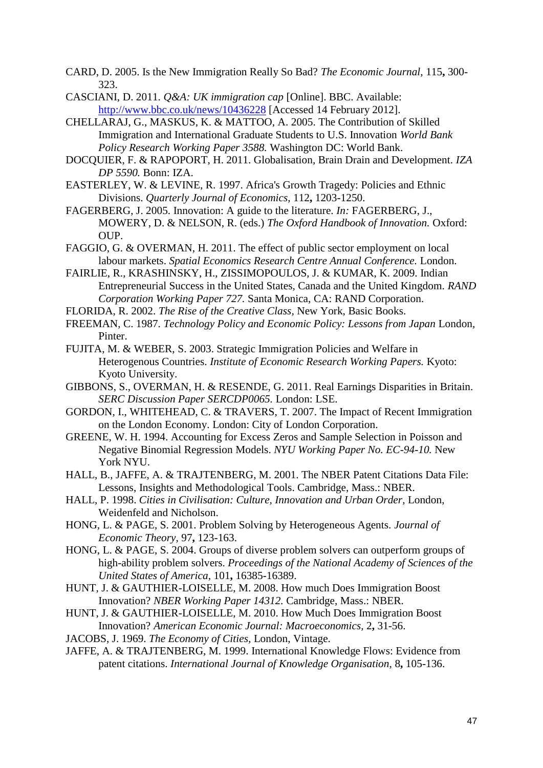- CARD, D. 2005. Is the New Immigration Really So Bad? *The Economic Journal,* 115**,** 300- 323.
- CASCIANI, D. 2011. *Q&A: UK immigration cap* [Online]. BBC. Available: <http://www.bbc.co.uk/news/10436228> [Accessed 14 February 2012].
- CHELLARAJ, G., MASKUS, K. & MATTOO, A. 2005. The Contribution of Skilled Immigration and International Graduate Students to U.S. Innovation *World Bank Policy Research Working Paper 3588.* Washington DC: World Bank.
- DOCQUIER, F. & RAPOPORT, H. 2011. Globalisation, Brain Drain and Development. *IZA DP 5590.* Bonn: IZA.
- EASTERLEY, W. & LEVINE, R. 1997. Africa's Growth Tragedy: Policies and Ethnic Divisions. *Quarterly Journal of Economics,* 112**,** 1203-1250.
- FAGERBERG, J. 2005. Innovation: A guide to the literature. *In:* FAGERBERG, J., MOWERY, D. & NELSON, R. (eds.) *The Oxford Handbook of Innovation.* Oxford: OUP.
- FAGGIO, G. & OVERMAN, H. 2011. The effect of public sector employment on local labour markets. *Spatial Economics Research Centre Annual Conference.* London.
- FAIRLIE, R., KRASHINSKY, H., ZISSIMOPOULOS, J. & KUMAR, K. 2009. Indian Entrepreneurial Success in the United States, Canada and the United Kingdom. *RAND Corporation Working Paper 727.* Santa Monica, CA: RAND Corporation.
- FLORIDA, R. 2002. *The Rise of the Creative Class,* New York, Basic Books.
- FREEMAN, C. 1987. *Technology Policy and Economic Policy: Lessons from Japan* London, Pinter.
- FUJITA, M. & WEBER, S. 2003. Strategic Immigration Policies and Welfare in Heterogenous Countries. *Institute of Economic Research Working Papers.* Kyoto: Kyoto University.
- GIBBONS, S., OVERMAN, H. & RESENDE, G. 2011. Real Earnings Disparities in Britain. *SERC Discussion Paper SERCDP0065.* London: LSE.
- GORDON, I., WHITEHEAD, C. & TRAVERS, T. 2007. The Impact of Recent Immigration on the London Economy. London: City of London Corporation.
- GREENE, W. H. 1994. Accounting for Excess Zeros and Sample Selection in Poisson and Negative Binomial Regression Models. *NYU Working Paper No. EC-94-10.* New York NYU.
- HALL, B., JAFFE, A. & TRAJTENBERG, M. 2001. The NBER Patent Citations Data File: Lessons, Insights and Methodological Tools. Cambridge, Mass.: NBER.
- HALL, P. 1998. *Cities in Civilisation: Culture, Innovation and Urban Order,* London, Weidenfeld and Nicholson.
- HONG, L. & PAGE, S. 2001. Problem Solving by Heterogeneous Agents. *Journal of Economic Theory,* 97**,** 123-163.
- HONG, L. & PAGE, S. 2004. Groups of diverse problem solvers can outperform groups of high-ability problem solvers. *Proceedings of the National Academy of Sciences of the United States of America,* 101**,** 16385-16389.
- HUNT, J. & GAUTHIER-LOISELLE, M. 2008. How much Does Immigration Boost Innovation? *NBER Working Paper 14312.* Cambridge, Mass.: NBER.
- HUNT, J. & GAUTHIER-LOISELLE, M. 2010. How Much Does Immigration Boost Innovation? *American Economic Journal: Macroeconomics,* 2**,** 31-56.
- JACOBS, J. 1969. *The Economy of Cities,* London, Vintage.
- JAFFE, A. & TRAJTENBERG, M. 1999. International Knowledge Flows: Evidence from patent citations. *International Journal of Knowledge Organisation,* 8**,** 105-136.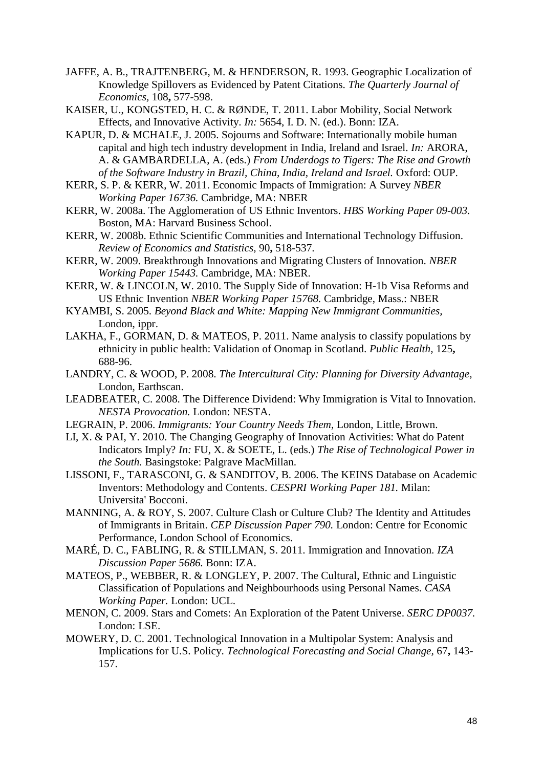- JAFFE, A. B., TRAJTENBERG, M. & HENDERSON, R. 1993. Geographic Localization of Knowledge Spillovers as Evidenced by Patent Citations. *The Quarterly Journal of Economics,* 108**,** 577-598.
- KAISER, U., KONGSTED, H. C. & RØNDE, T. 2011. Labor Mobility, Social Network Effects, and Innovative Activity. *In:* 5654, I. D. N. (ed.). Bonn: IZA.
- KAPUR, D. & MCHALE, J. 2005. Sojourns and Software: Internationally mobile human capital and high tech industry development in India, Ireland and Israel. *In:* ARORA, A. & GAMBARDELLA, A. (eds.) *From Underdogs to Tigers: The Rise and Growth of the Software Industry in Brazil, China, India, Ireland and Israel.* Oxford: OUP.
- KERR, S. P. & KERR, W. 2011. Economic Impacts of Immigration: A Survey *NBER Working Paper 16736.* Cambridge, MA: NBER
- KERR, W. 2008a. The Agglomeration of US Ethnic Inventors. *HBS Working Paper 09-003.* Boston, MA: Harvard Business School.
- KERR, W. 2008b. Ethnic Scientific Communities and International Technology Diffusion. *Review of Economics and Statistics,* 90**,** 518-537.
- KERR, W. 2009. Breakthrough Innovations and Migrating Clusters of Innovation. *NBER Working Paper 15443.* Cambridge, MA: NBER.
- KERR, W. & LINCOLN, W. 2010. The Supply Side of Innovation: H-1b Visa Reforms and US Ethnic Invention *NBER Working Paper 15768.* Cambridge, Mass.: NBER
- KYAMBI, S. 2005. *Beyond Black and White: Mapping New Immigrant Communities,*  London, ippr.
- LAKHA, F., GORMAN, D. & MATEOS, P. 2011. Name analysis to classify populations by ethnicity in public health: Validation of Onomap in Scotland. *Public Health,* 125**,** 688-96.
- LANDRY, C. & WOOD, P. 2008. *The Intercultural City: Planning for Diversity Advantage,*  London, Earthscan.
- LEADBEATER, C. 2008. The Difference Dividend: Why Immigration is Vital to Innovation. *NESTA Provocation.* London: NESTA.
- LEGRAIN, P. 2006. *Immigrants: Your Country Needs Them,* London, Little, Brown.
- LI, X. & PAI, Y. 2010. The Changing Geography of Innovation Activities: What do Patent Indicators Imply? *In:* FU, X. & SOETE, L. (eds.) *The Rise of Technological Power in the South.* Basingstoke: Palgrave MacMillan.
- LISSONI, F., TARASCONI, G. & SANDITOV, B. 2006. The KEINS Database on Academic Inventors: Methodology and Contents. *CESPRI Working Paper 181.* Milan: Universita' Bocconi.
- MANNING, A. & ROY, S. 2007. Culture Clash or Culture Club? The Identity and Attitudes of Immigrants in Britain. *CEP Discussion Paper 790.* London: Centre for Economic Performance, London School of Economics.
- MARÉ, D. C., FABLING, R. & STILLMAN, S. 2011. Immigration and Innovation. *IZA Discussion Paper 5686.* Bonn: IZA.
- MATEOS, P., WEBBER, R. & LONGLEY, P. 2007. The Cultural, Ethnic and Linguistic Classification of Populations and Neighbourhoods using Personal Names. *CASA Working Paper.* London: UCL.
- MENON, C. 2009. Stars and Comets: An Exploration of the Patent Universe. *SERC DP0037.* London: LSE.
- MOWERY, D. C. 2001. Technological Innovation in a Multipolar System: Analysis and Implications for U.S. Policy. *Technological Forecasting and Social Change,* 67**,** 143- 157.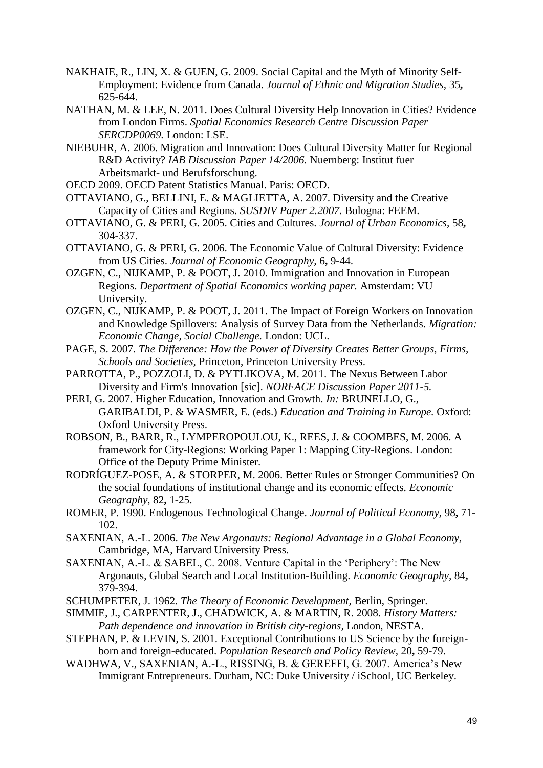- NAKHAIE, R., LIN, X. & GUEN, G. 2009. Social Capital and the Myth of Minority Self-Employment: Evidence from Canada. *Journal of Ethnic and Migration Studies,* 35**,** 625-644.
- NATHAN, M. & LEE, N. 2011. Does Cultural Diversity Help Innovation in Cities? Evidence from London Firms. *Spatial Economics Research Centre Discussion Paper SERCDP0069.* London: LSE.
- NIEBUHR, A. 2006. Migration and Innovation: Does Cultural Diversity Matter for Regional R&D Activity? *IAB Discussion Paper 14/2006.* Nuernberg: Institut fuer Arbeitsmarkt- und Berufsforschung.
- OECD 2009. OECD Patent Statistics Manual. Paris: OECD.
- OTTAVIANO, G., BELLINI, E. & MAGLIETTA, A. 2007. Diversity and the Creative Capacity of Cities and Regions. *SUSDIV Paper 2.2007.* Bologna: FEEM.
- OTTAVIANO, G. & PERI, G. 2005. Cities and Cultures. *Journal of Urban Economics,* 58**,** 304-337.
- OTTAVIANO, G. & PERI, G. 2006. The Economic Value of Cultural Diversity: Evidence from US Cities. *Journal of Economic Geography,* 6**,** 9-44.
- OZGEN, C., NIJKAMP, P. & POOT, J. 2010. Immigration and Innovation in European Regions. *Department of Spatial Economics working paper.* Amsterdam: VU University.
- OZGEN, C., NIJKAMP, P. & POOT, J. 2011. The Impact of Foreign Workers on Innovation and Knowledge Spillovers: Analysis of Survey Data from the Netherlands. *Migration: Economic Change, Social Challenge.* London: UCL.
- PAGE, S. 2007. *The Difference: How the Power of Diversity Creates Better Groups, Firms, Schools and Societies,* Princeton, Princeton University Press.
- PARROTTA, P., POZZOLI, D. & PYTLIKOVA, M. 2011. The Nexus Between Labor Diversity and Firm's Innovation [sic]. *NORFACE Discussion Paper 2011-5.*
- PERI, G. 2007. Higher Education, Innovation and Growth. *In:* BRUNELLO, G., GARIBALDI, P. & WASMER, E. (eds.) *Education and Training in Europe.* Oxford: Oxford University Press.
- ROBSON, B., BARR, R., LYMPEROPOULOU, K., REES, J. & COOMBES, M. 2006. A framework for City-Regions: Working Paper 1: Mapping City-Regions. London: Office of the Deputy Prime Minister.
- RODRÍGUEZ-POSE, A. & STORPER, M. 2006. Better Rules or Stronger Communities? On the social foundations of institutional change and its economic effects. *Economic Geography,* 82**,** 1-25.
- ROMER, P. 1990. Endogenous Technological Change. *Journal of Political Economy,* 98**,** 71- 102.
- SAXENIAN, A.-L. 2006. *The New Argonauts: Regional Advantage in a Global Economy,*  Cambridge, MA, Harvard University Press.
- SAXENIAN, A.-L. & SABEL, C. 2008. Venture Capital in the 'Periphery': The New Argonauts, Global Search and Local Institution-Building. *Economic Geography,* 84**,** 379-394.
- SCHUMPETER, J. 1962. *The Theory of Economic Development,* Berlin, Springer.
- SIMMIE, J., CARPENTER, J., CHADWICK, A. & MARTIN, R. 2008. *History Matters: Path dependence and innovation in British city-regions,* London, NESTA.
- STEPHAN, P. & LEVIN, S. 2001. Exceptional Contributions to US Science by the foreignborn and foreign-educated. *Population Research and Policy Review,* 20**,** 59-79.
- WADHWA, V., SAXENIAN, A.-L., RISSING, B. & GEREFFI, G. 2007. America's New Immigrant Entrepreneurs. Durham, NC: Duke University / iSchool, UC Berkeley.